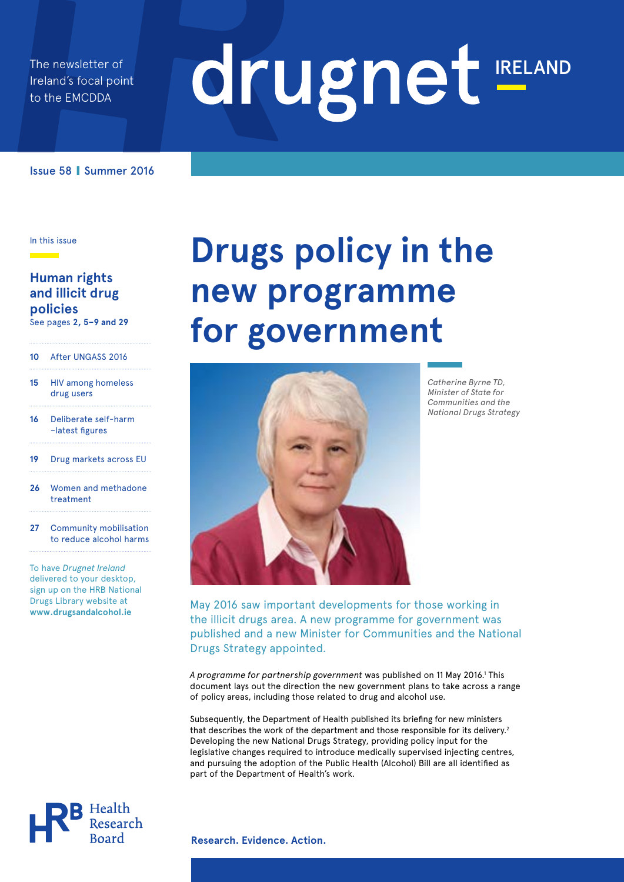The newsletter of Ireland's focal point to the EMCDDA

# drugnet IRELAND

Issue 58 **|** Summer 2016

In this issue

### **Human rights and illicit drug policies**

See pages **2, 5–9 and 29**

#### **10** After UNGASS 2016

- **15** HIV among homeless drug users
- **16** Deliberate self-harm –latest figures
- **19** Drug markets across EU
- **26** Women and methadone treatment
- **27** Community mobilisation to reduce alcohol harms

To have *Drugnet Ireland*  delivered to your desktop, sign up on the HRB National Drugs Library website at **www.drugsandalcohol.ie**

# **Drugs policy in the new programme for government**



*Catherine Byrne TD, Minister of State for Communities and the National Drugs Strategy*

May 2016 saw important developments for those working in the illicit drugs area. A new programme for government was published and a new Minister for Communities and the National Drugs Strategy appointed.

A programme for partnership government was published on 11 May 2016.<sup>1</sup> This document lays out the direction the new government plans to take across a range of policy areas, including those related to drug and alcohol use.

Subsequently, the Department of Health published its briefing for new ministers that describes the work of the department and those responsible for its delivery.<sup>2</sup> Developing the new National Drugs Strategy, providing policy input for the legislative changes required to introduce medically supervised injecting centres, and pursuing the adoption of the Public Health (Alcohol) Bill are all identified as part of the Department of Health's work.



**Research. Evidence. Action.**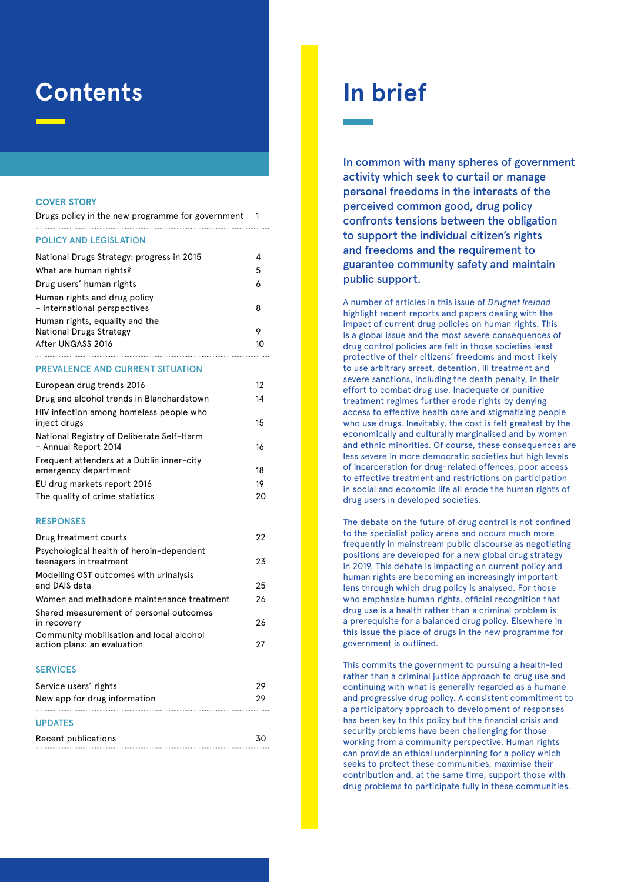### **Contents**

#### **Cover Story**

|  | Drugs policy in the new programme for government |  |
|--|--------------------------------------------------|--|
|  |                                                  |  |

#### Policy and legislation

| National Drugs Strategy: progress in 2015                    | 4  |
|--------------------------------------------------------------|----|
| What are human rights?                                       | 5  |
| Drug users' human rights                                     | 6  |
| Human rights and drug policy<br>- international perspectives | 8  |
| Human rights, equality and the                               |    |
| <b>National Drugs Strategy</b>                               |    |
| After UNGASS 2016                                            | 10 |

#### Prevalence and current situation

| European drug trends 2016                                         | 12 |
|-------------------------------------------------------------------|----|
| Drug and alcohol trends in Blanchardstown                         | 14 |
| HIV infection among homeless people who<br>inject drugs           | 15 |
| National Registry of Deliberate Self-Harm<br>- Annual Report 2014 | 16 |
| Frequent attenders at a Dublin inner-city<br>emergency department | 18 |
| EU drug markets report 2016                                       | 19 |
| The quality of crime statistics                                   | 20 |

#### Responses

| Drug treatment courts                                                   | 22 |
|-------------------------------------------------------------------------|----|
| Psychological health of heroin-dependent<br>teenagers in treatment      | 23 |
| Modelling OST outcomes with urinalysis<br>and DAIS data                 | 25 |
| Women and methadone maintenance treatment                               | 26 |
| Shared measurement of personal outcomes<br>in recovery                  | 26 |
| Community mobilisation and local alcohol<br>action plans: an evaluation | 27 |
| <b>SERVICES</b>                                                         |    |
| Service users' rights                                                   | 29 |
| New app for drug information                                            | 29 |
| <b>UPDATES</b>                                                          |    |
| Recent publications                                                     | 30 |

### **In brief**

In common with many spheres of government activity which seek to curtail or manage personal freedoms in the interests of the perceived common good, drug policy confronts tensions between the obligation to support the individual citizen's rights and freedoms and the requirement to guarantee community safety and maintain public support.

A number of articles in this issue of *Drugnet Ireland*  highlight recent reports and papers dealing with the impact of current drug policies on human rights. This is a global issue and the most severe consequences of drug control policies are felt in those societies least protective of their citizens' freedoms and most likely to use arbitrary arrest, detention, ill treatment and severe sanctions, including the death penalty, in their effort to combat drug use. Inadequate or punitive treatment regimes further erode rights by denying access to effective health care and stigmatising people who use drugs. Inevitably, the cost is felt greatest by the economically and culturally marginalised and by women and ethnic minorities. Of course, these consequences are less severe in more democratic societies but high levels of incarceration for drug-related offences, poor access to effective treatment and restrictions on participation in social and economic life all erode the human rights of drug users in developed societies.

The debate on the future of drug control is not confined to the specialist policy arena and occurs much more frequently in mainstream public discourse as negotiating positions are developed for a new global drug strategy in 2019. This debate is impacting on current policy and human rights are becoming an increasingly important lens through which drug policy is analysed. For those who emphasise human rights, official recognition that drug use is a health rather than a criminal problem is a prerequisite for a balanced drug policy. Elsewhere in this issue the place of drugs in the new programme for government is outlined.

This commits the government to pursuing a health-led rather than a criminal justice approach to drug use and continuing with what is generally regarded as a humane and progressive drug policy. A consistent commitment to a participatory approach to development of responses has been key to this policy but the financial crisis and security problems have been challenging for those working from a community perspective. Human rights can provide an ethical underpinning for a policy which seeks to protect these communities, maximise their contribution and, at the same time, support those with drug problems to participate fully in these communities.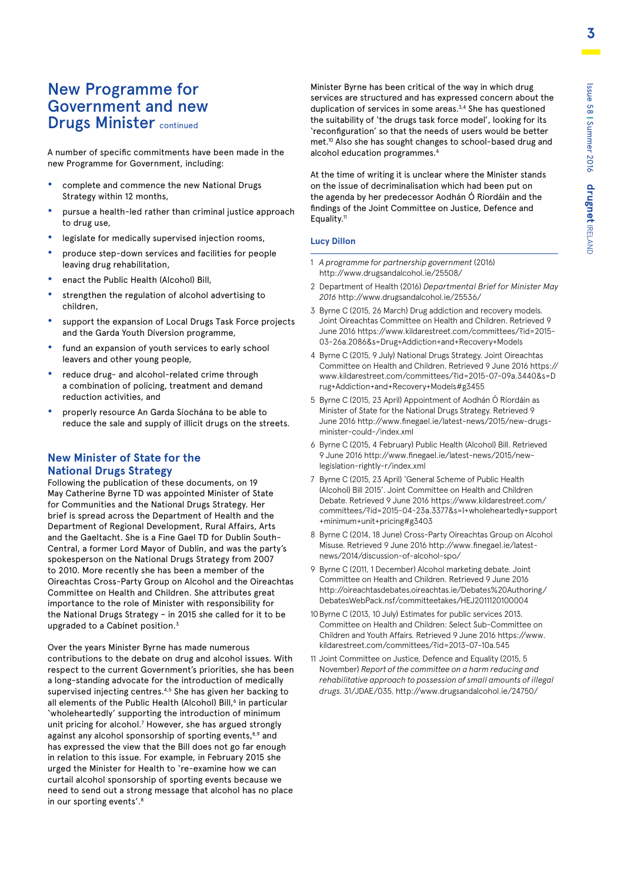### New Programme for Government and new **Drugs Minister continued**

A number of specific commitments have been made in the new Programme for Government, including:

- **•** complete and commence the new National Drugs Strategy within 12 months,
- **•** pursue a health-led rather than criminal justice approach to drug use,
- **•** legislate for medically supervised injection rooms,
- **•** produce step-down services and facilities for people leaving drug rehabilitation,
- **•** enact the Public Health (Alcohol) Bill,
- **•** strengthen the regulation of alcohol advertising to children,
- **•** support the expansion of Local Drugs Task Force projects and the Garda Youth Diversion programme,
- **•** fund an expansion of youth services to early school leavers and other young people,
- **•** reduce drug- and alcohol-related crime through a combination of policing, treatment and demand reduction activities, and
- **•** properly resource An Garda Síochána to be able to reduce the sale and supply of illicit drugs on the streets.

#### **New Minister of State for the National Drugs Strategy**

Following the publication of these documents, on 19 May Catherine Byrne TD was appointed Minister of State for Communities and the National Drugs Strategy. Her brief is spread across the Department of Health and the Department of Regional Development, Rural Affairs, Arts and the Gaeltacht. She is a Fine Gael TD for Dublin South-Central, a former Lord Mayor of Dublin, and was the party's spokesperson on the National Drugs Strategy from 2007 to 2010. More recently she has been a member of the Oireachtas Cross-Party Group on Alcohol and the Oireachtas Committee on Health and Children. She attributes great importance to the role of Minister with responsibility for the National Drugs Strategy – in 2015 she called for it to be upgraded to a Cabinet position.<sup>3</sup>

Over the years Minister Byrne has made numerous contributions to the debate on drug and alcohol issues. With respect to the current Government's priorities, she has been a long-standing advocate for the introduction of medically supervised injecting centres.<sup>4,5</sup> She has given her backing to all elements of the Public Health (Alcohol) Bill,<sup>6</sup> in particular 'wholeheartedly' supporting the introduction of minimum unit pricing for alcohol.<sup>7</sup> However, she has argued strongly against any alcohol sponsorship of sporting events,<sup>8,9</sup> and has expressed the view that the Bill does not go far enough in relation to this issue. For example, in February 2015 she urged the Minister for Health to 're-examine how we can curtail alcohol sponsorship of sporting events because we need to send out a strong message that alcohol has no place in our sporting events'.8

Minister Byrne has been critical of the way in which drug services are structured and has expressed concern about the duplication of services in some areas.<sup>3,4</sup> She has questioned the suitability of 'the drugs task force model', looking for its 'reconfiguration' so that the needs of users would be better met.10 Also she has sought changes to school-based drug and alcohol education programmes.4

At the time of writing it is unclear where the Minister stands on the issue of decriminalisation which had been put on the agenda by her predecessor Aodhán Ó Ríordáin and the findings of the Joint Committee on Justice, Defence and Equality.<sup>11</sup>

#### **Lucy Dillon**

- 1 *A programme for partnership government* (2016) http://www.drugsandalcohol.ie/25508/
- 2 Department of Health (2016) *Departmental Brief for Minister May 2016* http://www.drugsandalcohol.ie/25536/
- 3 Byrne C (2015, 26 March) Drug addiction and recovery models. Joint Oireachtas Committee on Health and Children. Retrieved 9 June 2016 https://www.kildarestreet.com/committees/?id=2015- 03-26a.2086&s=Drug+Addiction+and+Recovery+Models
- 4 Byrne C (2015, 9 July) National Drugs Strategy. Joint Oireachtas Committee on Health and Children. Retrieved 9 June 2016 https:// www.kildarestreet.com/committees/?id=2015-07-09a.3440&s=D rug+Addiction+and+Recovery+Models#g3455
- 5 Byrne C (2015, 23 April) Appointment of Aodhán Ó Ríordáin as Minister of State for the National Drugs Strategy. Retrieved 9 June 2016 http://www.finegael.ie/latest-news/2015/new-drugsminister-could-/index.xml
- 6 Byrne C (2015, 4 February) Public Health (Alcohol) Bill. Retrieved 9 June 2016 http://www.finegael.ie/latest-news/2015/newlegislation-rightly-r/index.xml
- 7 Byrne C (2015, 23 April) 'General Scheme of Public Health (Alcohol) Bill 2015'. Joint Committee on Health and Children Debate. Retrieved 9 June 2016 https://www.kildarestreet.com/ committees/?id=2015-04-23a.3377&s=I+wholeheartedly+support +minimum+unit+pricing#g3403
- 8 Byrne C (2014, 18 June) Cross-Party Oireachtas Group on Alcohol Misuse. Retrieved 9 June 2016 http://www.finegael.ie/latestnews/2014/discussion-of-alcohol-spo/
- 9 Byrne C (2011, 1 December) Alcohol marketing debate. Joint Committee on Health and Children. Retrieved 9 June 2016 http://oireachtasdebates.oireachtas.ie/Debates%20Authoring/ DebatesWebPack.nsf/committeetakes/HEJ2011120100004
- 10 Byrne C (2013, 10 July) Estimates for public services 2013. Committee on Health and Children: Select Sub-Committee on Children and Youth Affairs. Retrieved 9 June 2016 https://www. kildarestreet.com/committees/?id=2013-07-10a.545
- 11 Joint Committee on Justice, Defence and Equality (2015, 5 November) *Report of the committee on a harm reducing and rehabilitative approach to possession of small amounts of illegal drugs.* 31/JDAE/035. http://www.drugsandalcohol.ie/24750/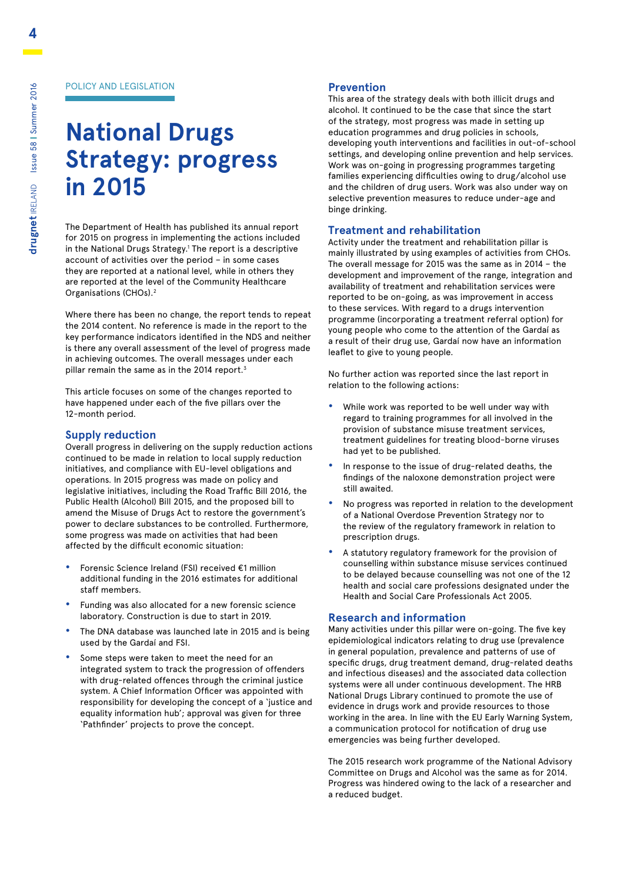#### POLICY AND LEGISLATION

# **National Drugs Strategy: progress in 2015**

The Department of Health has published its annual report for 2015 on progress in implementing the actions included in the National Drugs Strategy.<sup>1</sup> The report is a descriptive account of activities over the period – in some cases they are reported at a national level, while in others they are reported at the level of the Community Healthcare Organisations (CHOs).2

Where there has been no change, the report tends to repeat the 2014 content. No reference is made in the report to the key performance indicators identified in the NDS and neither is there any overall assessment of the level of progress made in achieving outcomes. The overall messages under each pillar remain the same as in the 2014 report.<sup>3</sup>

This article focuses on some of the changes reported to have happened under each of the five pillars over the 12-month period.

#### **Supply reduction**

Overall progress in delivering on the supply reduction actions continued to be made in relation to local supply reduction initiatives, and compliance with EU-level obligations and operations. In 2015 progress was made on policy and legislative initiatives, including the Road Traffic Bill 2016, the Public Health (Alcohol) Bill 2015, and the proposed bill to amend the Misuse of Drugs Act to restore the government's power to declare substances to be controlled. Furthermore, some progress was made on activities that had been affected by the difficult economic situation:

- **•** Forensic Science Ireland (FSI) received €1 million additional funding in the 2016 estimates for additional staff members.
- **•** Funding was also allocated for a new forensic science laboratory. Construction is due to start in 2019.
- **•** The DNA database was launched late in 2015 and is being used by the Gardaí and FSI.
- **•** Some steps were taken to meet the need for an integrated system to track the progression of offenders with drug-related offences through the criminal justice system. A Chief Information Officer was appointed with responsibility for developing the concept of a 'justice and equality information hub'; approval was given for three 'Pathfinder' projects to prove the concept.

#### **Prevention**

This area of the strategy deals with both illicit drugs and alcohol. It continued to be the case that since the start of the strategy, most progress was made in setting up education programmes and drug policies in schools, developing youth interventions and facilities in out-of-school settings, and developing online prevention and help services. Work was on-going in progressing programmes targeting families experiencing difficulties owing to drug/alcohol use and the children of drug users. Work was also under way on selective prevention measures to reduce under-age and binge drinking.

#### **Treatment and rehabilitation**

Activity under the treatment and rehabilitation pillar is mainly illustrated by using examples of activities from CHOs. The overall message for 2015 was the same as in 2014 – the development and improvement of the range, integration and availability of treatment and rehabilitation services were reported to be on-going, as was improvement in access to these services. With regard to a drugs intervention programme (incorporating a treatment referral option) for young people who come to the attention of the Gardaí as a result of their drug use, Gardaí now have an information leaflet to give to young people.

No further action was reported since the last report in relation to the following actions:

- **•** While work was reported to be well under way with regard to training programmes for all involved in the provision of substance misuse treatment services, treatment guidelines for treating blood-borne viruses had yet to be published.
- **•** In response to the issue of drug-related deaths, the findings of the naloxone demonstration project were still awaited.
- **•** No progress was reported in relation to the development of a National Overdose Prevention Strategy nor to the review of the regulatory framework in relation to prescription drugs.
- **•** A statutory regulatory framework for the provision of counselling within substance misuse services continued to be delayed because counselling was not one of the 12 health and social care professions designated under the Health and Social Care Professionals Act 2005.

#### **Research and information**

Many activities under this pillar were on-going. The five key epidemiological indicators relating to drug use (prevalence in general population, prevalence and patterns of use of specific drugs, drug treatment demand, drug-related deaths and infectious diseases) and the associated data collection systems were all under continuous development. The HRB National Drugs Library continued to promote the use of evidence in drugs work and provide resources to those working in the area. In line with the EU Early Warning System, a communication protocol for notification of drug use emergencies was being further developed.

The 2015 research work programme of the National Advisory Committee on Drugs and Alcohol was the same as for 2014. Progress was hindered owing to the lack of a researcher and a reduced budget.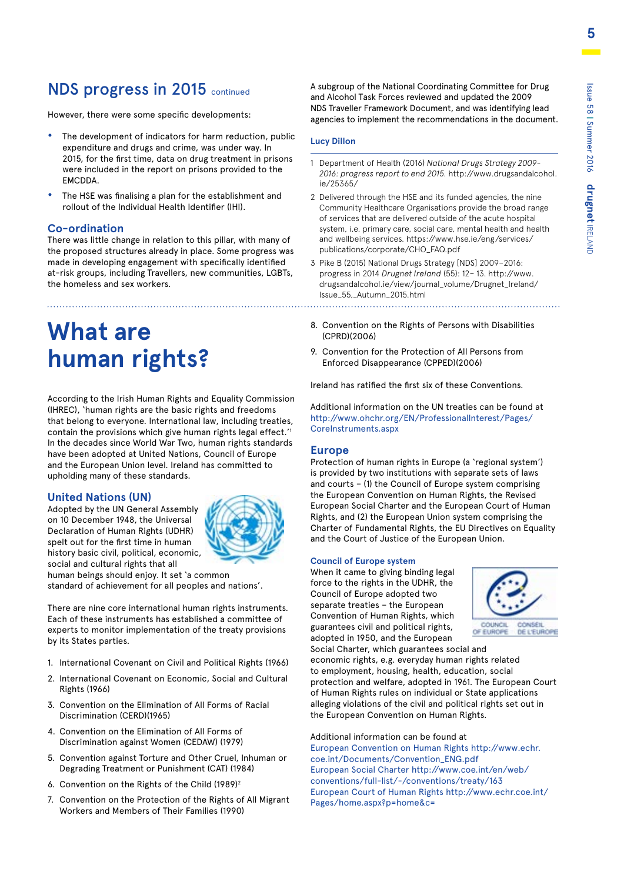**5**

### NDS progress in 2015 continued

However, there were some specific developments:

- **•** The development of indicators for harm reduction, public expenditure and drugs and crime, was under way. In 2015, for the first time, data on drug treatment in prisons were included in the report on prisons provided to the **FMCDDA**
- **•** The HSE was finalising a plan for the establishment and rollout of the Individual Health Identifier (IHI).

#### **Co-ordination**

There was little change in relation to this pillar, with many of the proposed structures already in place. Some progress was made in developing engagement with specifically identified at-risk groups, including Travellers, new communities, LGBTs, the homeless and sex workers.

# **What are human rights?**

According to the Irish Human Rights and Equality Commission (IHREC), 'human rights are the basic rights and freedoms that belong to everyone. International law, including treaties, contain the provisions which give human rights legal effect.'1 In the decades since World War Two, human rights standards have been adopted at United Nations, Council of Europe and the European Union level. Ireland has committed to upholding many of these standards.

#### **United Nations (UN)**

Adopted by the UN General Assembly on 10 December 1948, the Universal Declaration of Human Rights (UDHR) spelt out for the first time in human history basic civil, political, economic, social and cultural rights that all



human beings should enjoy. It set 'a common standard of achievement for all peoples and nations'.

There are nine core international human rights instruments. Each of these instruments has established a committee of experts to monitor implementation of the treaty provisions by its States parties.

- 1. International Covenant on Civil and Political Rights (1966)
- 2. International Covenant on Economic, Social and Cultural Rights (1966)
- 3. Convention on the Elimination of All Forms of Racial Discrimination (CERD)(1965)
- 4. Convention on the Elimination of All Forms of Discrimination against Women (CEDAW) (1979)
- 5. Convention against Torture and Other Cruel, Inhuman or Degrading Treatment or Punishment (CAT) (1984)
- 6. Convention on the Rights of the Child (1989)2
- 7. Convention on the Protection of the Rights of All Migrant Workers and Members of Their Families (1990)

A subgroup of the National Coordinating Committee for Drug and Alcohol Task Forces reviewed and updated the 2009 NDS Traveller Framework Document, and was identifying lead agencies to implement the recommendations in the document.

#### **Lucy Dillon**

- 1 Department of Health (2016) *National Drugs Strategy 2009- 2016: progress report to end 2015.* http://www.drugsandalcohol. ie/25365/
- 2 Delivered through the HSE and its funded agencies, the nine Community Healthcare Organisations provide the broad range of services that are delivered outside of the acute hospital system, i.e. primary care, social care, mental health and health and wellbeing services. https://www.hse.ie/eng/services/ publications/corporate/CHO\_FAQ.pdf
- 3 Pike B (2015) National Drugs Strategy [NDS] 2009–2016: progress in 2014 *Drugnet Ireland* (55): 12– 13. http://www. drugsandalcohol.ie/view/journal\_volume/Drugnet\_Ireland/ Issue\_55,\_Autumn\_2015.html
- 8. Convention on the Rights of Persons with Disabilities (CPRD)(2006)
- 9. Convention for the Protection of All Persons from Enforced Disappearance (CPPED)(2006)

Ireland has ratified the first six of these Conventions.

Additional information on the UN treaties can be found at http://www.ohchr.org/EN/ProfessionalInterest/Pages/ CoreInstruments.aspx

#### **Europe**

Protection of human rights in Europe (a 'regional system') is provided by two institutions with separate sets of laws and courts – (1) the Council of Europe system comprising the European Convention on Human Rights, the Revised European Social Charter and the European Court of Human Rights, and (2) the European Union system comprising the Charter of Fundamental Rights, the EU Directives on Equality and the Court of Justice of the European Union.

#### **Council of Europe system**

When it came to giving binding legal force to the rights in the UDHR, the Council of Europe adopted two separate treaties – the European Convention of Human Rights, which guarantees civil and political rights, adopted in 1950, and the European



Social Charter, which guarantees social and economic rights, e.g. everyday human rights related to employment, housing, health, education, social protection and welfare, adopted in 1961. The European Court of Human Rights rules on individual or State applications alleging violations of the civil and political rights set out in the European Convention on Human Rights.

Additional information can be found at European Convention on Human Rights http://www.echr. coe.int/Documents/Convention\_ENG.pdf European Social Charter http://www.coe.int/en/web/ conventions/full-list/-/conventions/treaty/163 European Court of Human Rights http://www.echr.coe.int/ Pages/home.aspx?p=home&c=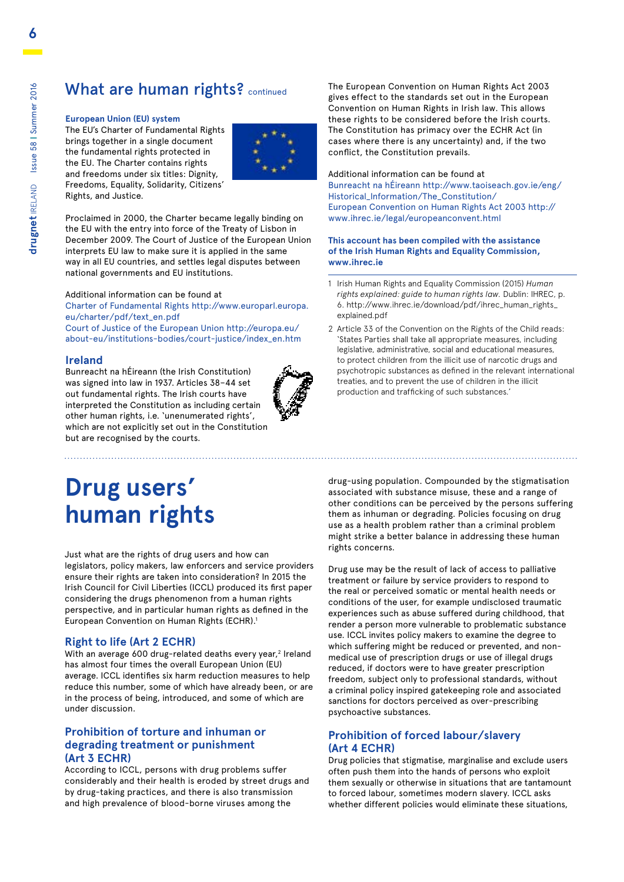### What are human rights? continued

#### **European Union (EU) system**

The EU's Charter of Fundamental Rights brings together in a single document the fundamental rights protected in the EU. The Charter contains rights and freedoms under six titles: Dignity, Freedoms, Equality, Solidarity, Citizens' Rights, and Justice.



Proclaimed in 2000, the Charter became legally binding on the EU with the entry into force of the Treaty of Lisbon in December 2009. The Court of Justice of the European Union interprets EU law to make sure it is applied in the same way in all EU countries, and settles legal disputes between national governments and EU institutions.

#### Additional information can be found at

Charter of Fundamental Rights http://www.europarl.europa. eu/charter/pdf/text\_en.pdf Court of Justice of the European Union http://europa.eu/

about-eu/institutions-bodies/court-justice/index\_en.htm

#### **Ireland**

Bunreacht na hÉireann (the Irish Constitution) was signed into law in 1937. Articles 38–44 set out fundamental rights. The Irish courts have interpreted the Constitution as including certain other human rights, i.e. 'unenumerated rights', which are not explicitly set out in the Constitution but are recognised by the courts.



The European Convention on Human Rights Act 2003 gives effect to the standards set out in the European Convention on Human Rights in Irish law. This allows these rights to be considered before the Irish courts. The Constitution has primacy over the ECHR Act (in cases where there is any uncertainty) and, if the two conflict, the Constitution prevails.

Additional information can be found at Bunreacht na hÉireann http://www.taoiseach.gov.ie/eng/ Historical\_Information/The\_Constitution/ European Convention on Human Rights Act 2003 http:// www.ihrec.ie/legal/europeanconvent.html

#### **This account has been compiled with the assistance of the Irish Human Rights and Equality Commission, www.ihrec.ie**

- 1 Irish Human Rights and Equality Commission (2015) *Human rights explained: guide to human rights law.* Dublin: IHREC, p. 6. http://www.ihrec.ie/download/pdf/ihrec\_human\_rights\_ explained.pdf
- 2 Article 33 of the Convention on the Rights of the Child reads: 'States Parties shall take all appropriate measures, including legislative, administrative, social and educational measures, to protect children from the illicit use of narcotic drugs and psychotropic substances as defined in the relevant international treaties, and to prevent the use of children in the illicit production and trafficking of such substances.'

# **Drug users' human rights**

Just what are the rights of drug users and how can legislators, policy makers, law enforcers and service providers ensure their rights are taken into consideration? In 2015 the Irish Council for Civil Liberties (ICCL) produced its first paper considering the drugs phenomenon from a human rights perspective, and in particular human rights as defined in the European Convention on Human Rights (ECHR).1

#### **Right to life (Art 2 ECHR)**

With an average 600 drug-related deaths every year,<sup>2</sup> Ireland has almost four times the overall European Union (EU) average. ICCL identifies six harm reduction measures to help reduce this number, some of which have already been, or are in the process of being, introduced, and some of which are under discussion.

#### **Prohibition of torture and inhuman or degrading treatment or punishment (Art 3 ECHR)**

According to ICCL, persons with drug problems suffer considerably and their health is eroded by street drugs and by drug-taking practices, and there is also transmission and high prevalence of blood-borne viruses among the

drug-using population. Compounded by the stigmatisation associated with substance misuse, these and a range of other conditions can be perceived by the persons suffering them as inhuman or degrading. Policies focusing on drug use as a health problem rather than a criminal problem might strike a better balance in addressing these human rights concerns.

Drug use may be the result of lack of access to palliative treatment or failure by service providers to respond to the real or perceived somatic or mental health needs or conditions of the user, for example undisclosed traumatic experiences such as abuse suffered during childhood, that render a person more vulnerable to problematic substance use. ICCL invites policy makers to examine the degree to which suffering might be reduced or prevented, and nonmedical use of prescription drugs or use of illegal drugs reduced, if doctors were to have greater prescription freedom, subject only to professional standards, without a criminal policy inspired gatekeeping role and associated sanctions for doctors perceived as over-prescribing psychoactive substances.

#### **Prohibition of forced labour/slavery (Art 4 ECHR)**

Drug policies that stigmatise, marginalise and exclude users often push them into the hands of persons who exploit them sexually or otherwise in situations that are tantamount to forced labour, sometimes modern slavery. ICCL asks whether different policies would eliminate these situations,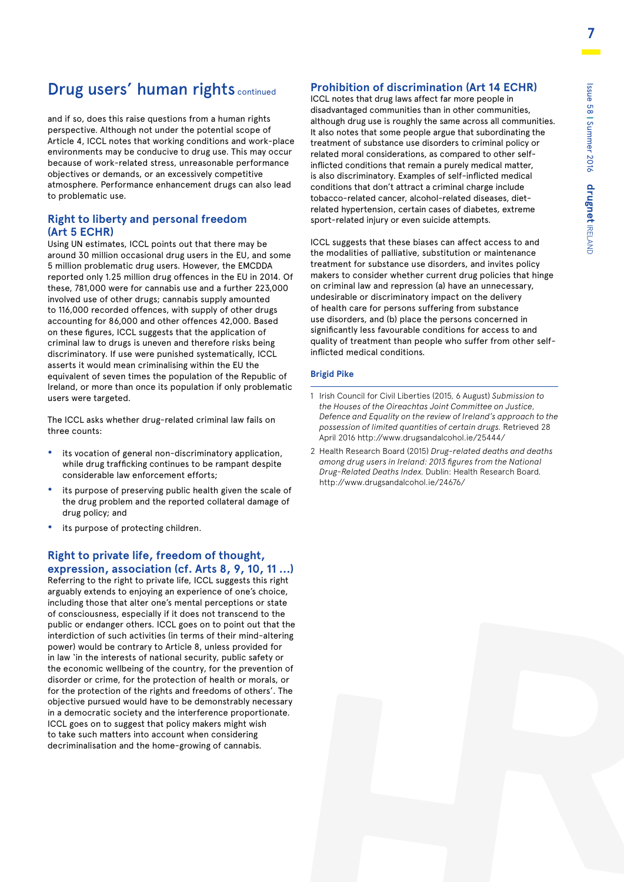**7**

### Drug users' human rights continued

and if so, does this raise questions from a human rights perspective. Although not under the potential scope of Article 4, ICCL notes that working conditions and work-place environments may be conducive to drug use. This may occur because of work-related stress, unreasonable performance objectives or demands, or an excessively competitive atmosphere. Performance enhancement drugs can also lead to problematic use.

#### **Right to liberty and personal freedom (Art 5 ECHR)**

Using UN estimates, ICCL points out that there may be around 30 million occasional drug users in the EU, and some 5 million problematic drug users. However, the EMCDDA reported only 1.25 million drug offences in the EU in 2014. Of these, 781,000 were for cannabis use and a further 223,000 involved use of other drugs; cannabis supply amounted to 116,000 recorded offences, with supply of other drugs accounting for 86,000 and other offences 42,000. Based on these figures, ICCL suggests that the application of criminal law to drugs is uneven and therefore risks being discriminatory. If use were punished systematically, ICCL asserts it would mean criminalising within the EU the equivalent of seven times the population of the Republic of Ireland, or more than once its population if only problematic users were targeted.

The ICCL asks whether drug-related criminal law fails on three counts:

- **•** its vocation of general non-discriminatory application, while drug trafficking continues to be rampant despite considerable law enforcement efforts;
- **•** its purpose of preserving public health given the scale of the drug problem and the reported collateral damage of drug policy; and
- **•** its purpose of protecting children.

#### **Right to private life, freedom of thought, expression, association (cf. Arts 8, 9, 10, 11 …)**

Referring to the right to private life, ICCL suggests this right arguably extends to enjoying an experience of one's choice, including those that alter one's mental perceptions or state of consciousness, especially if it does not transcend to the public or endanger others. ICCL goes on to point out that the interdiction of such activities (in terms of their mind-altering power) would be contrary to Article 8, unless provided for in law 'in the interests of national security, public safety or the economic wellbeing of the country, for the prevention of disorder or crime, for the protection of health or morals, or for the protection of the rights and freedoms of others'. The objective pursued would have to be demonstrably necessary in a democratic society and the interference proportionate. ICCL goes on to suggest that policy makers might wish to take such matters into account when considering decriminalisation and the home-growing of cannabis.

#### **Prohibition of discrimination (Art 14 ECHR)**

ICCL notes that drug laws affect far more people in disadvantaged communities than in other communities, although drug use is roughly the same across all communities. It also notes that some people argue that subordinating the treatment of substance use disorders to criminal policy or related moral considerations, as compared to other selfinflicted conditions that remain a purely medical matter, is also discriminatory. Examples of self-inflicted medical conditions that don't attract a criminal charge include tobacco-related cancer, alcohol-related diseases, dietrelated hypertension, certain cases of diabetes, extreme sport-related injury or even suicide attempts.

ICCL suggests that these biases can affect access to and the modalities of palliative, substitution or maintenance treatment for substance use disorders, and invites policy makers to consider whether current drug policies that hinge on criminal law and repression (a) have an unnecessary, undesirable or discriminatory impact on the delivery of health care for persons suffering from substance use disorders, and (b) place the persons concerned in significantly less favourable conditions for access to and quality of treatment than people who suffer from other selfinflicted medical conditions.

#### **Brigid Pike**

- 1 Irish Council for Civil Liberties (2015, 6 August) *Submission to the Houses of the Oireachtas Joint Committee on Justice, Defence and Equality on the review of Ireland's approach to the possession of limited quantities of certain drugs.* Retrieved 28 April 2016 http://www.drugsandalcohol.ie/25444/
- 2 Health Research Board (2015) *Drug-related deaths and deaths among drug users in Ireland: 2013 figures from the National Drug-Related Deaths Index.* Dublin: Health Research Board. http://www.drugsandalcohol.ie/24676/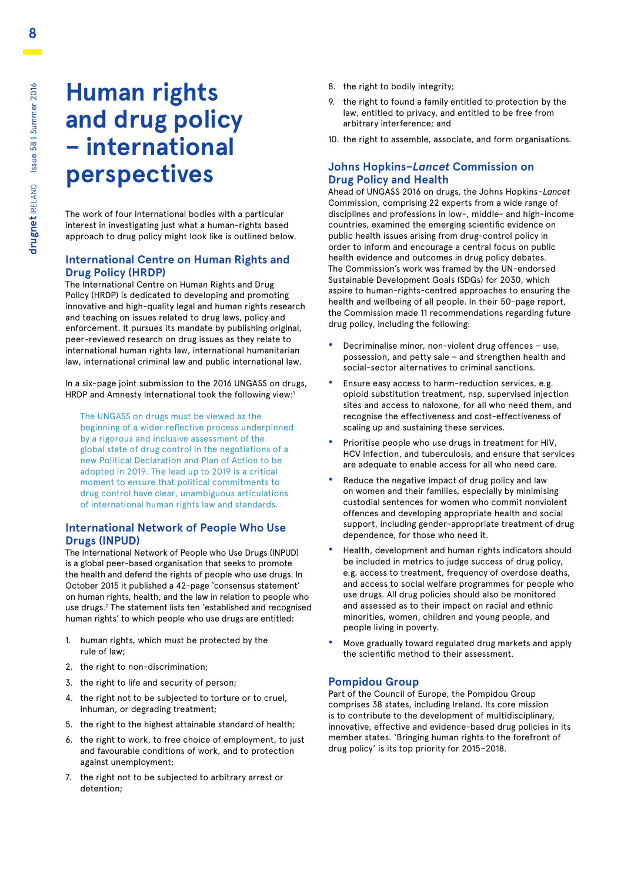# **Human rights and drug policy – international perspectives**

The work of four international bodies with a particular interest in investigating just what a human-rights based approach to drug policy might look like is outlined below.

#### **International Centre on Human Rights and Drug Policy (HRDP)**

The International Centre on Human Rights and Drug Policy (HRDP) is dedicated to developing and promoting innovative and high-quality legal and human rights research and teaching on issues related to drug laws, policy and enforcement. It pursues its mandate by publishing original, peer-reviewed research on drug issues as they relate to international human rights law, international humanitarian law, international criminal law and public international law.

In a six-page joint submission to the 2016 UNGASS on drugs, HRDP and Amnesty International took the following view:<sup>1</sup>

The UNGASS on drugs must be viewed as the beginning of a wider reflective process underpinned by a rigorous and inclusive assessment of the global state of drug control in the negotiations of a new Political Declaration and Plan of Action to be adopted in 2019. The lead up to 2019 is a critical moment to ensure that political commitments to drug control have clear, unambiguous articulations of international human rights law and standards.

#### **International Network of People Who Use Drugs (INPUD)**

The International Network of People who Use Drugs (INPUD) is a global peer-based organisation that seeks to promote the health and defend the rights of people who use drugs. In October 2015 it published a 42-page 'consensus statement' on human rights, health, and the law in relation to people who use drugs.<sup>2</sup> The statement lists ten `established and recognised human rights' to which people who use drugs are entitled:

- 1. human rights, which must be protected by the rule of law;
- 2. the right to non-discrimination;
- 3. the right to life and security of person;
- 4. the right not to be subjected to torture or to cruel, inhuman, or degrading treatment;
- 5. the right to the highest attainable standard of health;
- 6. the right to work, to free choice of employment, to just and favourable conditions of work, and to protection against unemployment;
- 7. the right not to be subjected to arbitrary arrest or detention;
- 8. the right to bodily integrity;
- 9. the right to found a family entitled to protection by the law, entitled to privacy, and entitled to be free from arbitrary interference; and
- 10. the right to assemble, associate, and form organisations.

#### **Johns Hopkins–***Lancet* **Commission on Drug Policy and Health**

Ahead of UNGASS 2016 on drugs, the Johns Hopkins–*Lancet* Commission, comprising 22 experts from a wide range of disciplines and professions in low-, middle- and high-income countries, examined the emerging scientific evidence on public health issues arising from drug-control policy in order to inform and encourage a central focus on public health evidence and outcomes in drug policy debates. The Commission's work was framed by the UN-endorsed Sustainable Development Goals (SDGs) for 2030, which aspire to human-rights-centred approaches to ensuring the health and wellbeing of all people. In their 50-page report, the Commission made 11 recommendations regarding future drug policy, including the following:

- **•** Decriminalise minor, non-violent drug offences use, possession, and petty sale – and strengthen health and social-sector alternatives to criminal sanctions.
- **•** Ensure easy access to harm-reduction services, e.g. opioid substitution treatment, nsp, supervised injection sites and access to naloxone, for all who need them, and recognise the effectiveness and cost-effectiveness of scaling up and sustaining these services.
- **•** Prioritise people who use drugs in treatment for HIV, HCV infection, and tuberculosis, and ensure that services are adequate to enable access for all who need care.
- **•** Reduce the negative impact of drug policy and law on women and their families, especially by minimising custodial sentences for women who commit nonviolent offences and developing appropriate health and social support, including gender-appropriate treatment of drug dependence, for those who need it.
- **•** Health, development and human rights indicators should be included in metrics to judge success of drug policy, e.g. access to treatment, frequency of overdose deaths, and access to social welfare programmes for people who use drugs. All drug policies should also be monitored and assessed as to their impact on racial and ethnic minorities, women, children and young people, and people living in poverty.
- **•** Move gradually toward regulated drug markets and apply the scientific method to their assessment.

#### **Pompidou Group**

Part of the Council of Europe, the Pompidou Group comprises 38 states, including Ireland. Its core mission is to contribute to the development of multidisciplinary, innovative, effective and evidence-based drug policies in its member states. 'Bringing human rights to the forefront of drug policy' is its top priority for 2015–2018.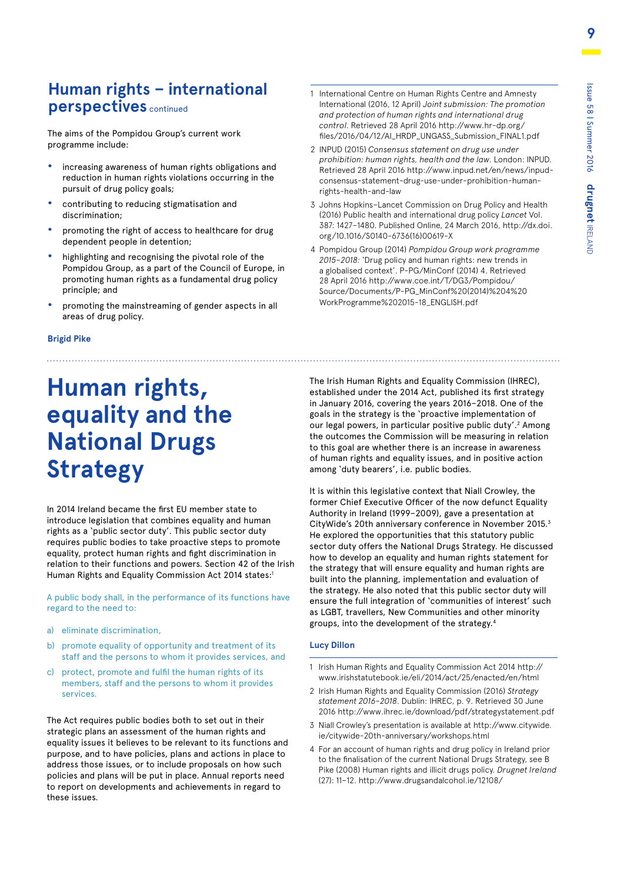### **Human rights – international perspectives** continued

The aims of the Pompidou Group's current work programme include:

- **•** increasing awareness of human rights obligations and reduction in human rights violations occurring in the pursuit of drug policy goals;
- **•** contributing to reducing stigmatisation and discrimination;
- **•** promoting the right of access to healthcare for drug dependent people in detention;
- **•** highlighting and recognising the pivotal role of the Pompidou Group, as a part of the Council of Europe, in promoting human rights as a fundamental drug policy principle; and
- **•** promoting the mainstreaming of gender aspects in all areas of drug policy.
- 1 International Centre on Human Rights Centre and Amnesty International (2016, 12 April) *Joint submission: The promotion and protection of human rights and international drug control.* Retrieved 28 April 2016 http://www.hr-dp.org/ files/2016/04/12/AI\_HRDP\_UNGASS\_Submission\_FINAL1.pdf
- 2 INPUD (2015) *Consensus statement on drug use under prohibition: human rights, health and the law.* London: INPUD. Retrieved 28 April 2016 http://www.inpud.net/en/news/inpudconsensus-statement-drug-use-under-prohibition-humanrights-health-and-law
- 3 Johns Hopkins–Lancet Commission on Drug Policy and Health (2016) Public health and international drug policy *Lancet* Vol. 387: 1427–1480. Published Online, 24 March 2016, http://dx.doi. org/10.1016/S0140-6736(16)00619-X
- 4 Pompidou Group (2014) *Pompidou Group work programme 2015–2018:* 'Drug policy and human rights: new trends in a globalised context'. P-PG/MinConf (2014) 4. Retrieved 28 April 2016 http://www.coe.int/T/DG3/Pompidou/ Source/Documents/P-PG\_MinConf%20(2014)%204%20 WorkProgramme%202015-18\_ENGLISH.pdf

#### **Brigid Pike**

# **Human rights, equality and the National Drugs Strategy**

In 2014 Ireland became the first EU member state to introduce legislation that combines equality and human rights as a 'public sector duty'. This public sector duty requires public bodies to take proactive steps to promote equality, protect human rights and fight discrimination in relation to their functions and powers. Section 42 of the Irish Human Rights and Equality Commission Act 2014 states:<sup>1</sup>

A public body shall, in the performance of its functions have regard to the need to:

- a) eliminate discrimination,
- b) promote equality of opportunity and treatment of its staff and the persons to whom it provides services, and
- c) protect, promote and fulfil the human rights of its members, staff and the persons to whom it provides services.

The Act requires public bodies both to set out in their strategic plans an assessment of the human rights and equality issues it believes to be relevant to its functions and purpose, and to have policies, plans and actions in place to address those issues, or to include proposals on how such policies and plans will be put in place. Annual reports need to report on developments and achievements in regard to these issues.

The Irish Human Rights and Equality Commission (IHREC), established under the 2014 Act, published its first strategy in January 2016, covering the years 2016–2018. One of the goals in the strategy is the 'proactive implementation of our legal powers, in particular positive public duty'.<sup>2</sup> Among the outcomes the Commission will be measuring in relation to this goal are whether there is an increase in awareness of human rights and equality issues, and in positive action among 'duty bearers', i.e. public bodies.

It is within this legislative context that Niall Crowley, the former Chief Executive Officer of the now defunct Equality Authority in Ireland (1999–2009), gave a presentation at CityWide's 20th anniversary conference in November 2015.3 He explored the opportunities that this statutory public sector duty offers the National Drugs Strategy. He discussed how to develop an equality and human rights statement for the strategy that will ensure equality and human rights are built into the planning, implementation and evaluation of the strategy. He also noted that this public sector duty will ensure the full integration of 'communities of interest' such as LGBT, travellers, New Communities and other minority groups, into the development of the strategy.4

#### **Lucy Dillon**

- 1 Irish Human Rights and Equality Commission Act 2014 http:// www.irishstatutebook.ie/eli/2014/act/25/enacted/en/html
- 2 Irish Human Rights and Equality Commission (2016) *Strategy statement 2016–2018*. Dublin: IHREC, p. 9. Retrieved 30 June 2016 http://www.ihrec.ie/download/pdf/strategystatement.pdf
- 3 Niall Crowley's presentation is available at http://www.citywide. ie/citywide-20th-anniversary/workshops.html
- 4 For an account of human rights and drug policy in Ireland prior to the finalisation of the current National Drugs Strategy, see B Pike (2008) Human rights and illicit drugs policy. *Drugnet Ireland*  (27): 11–12. http://www.drugsandalcohol.ie/12108/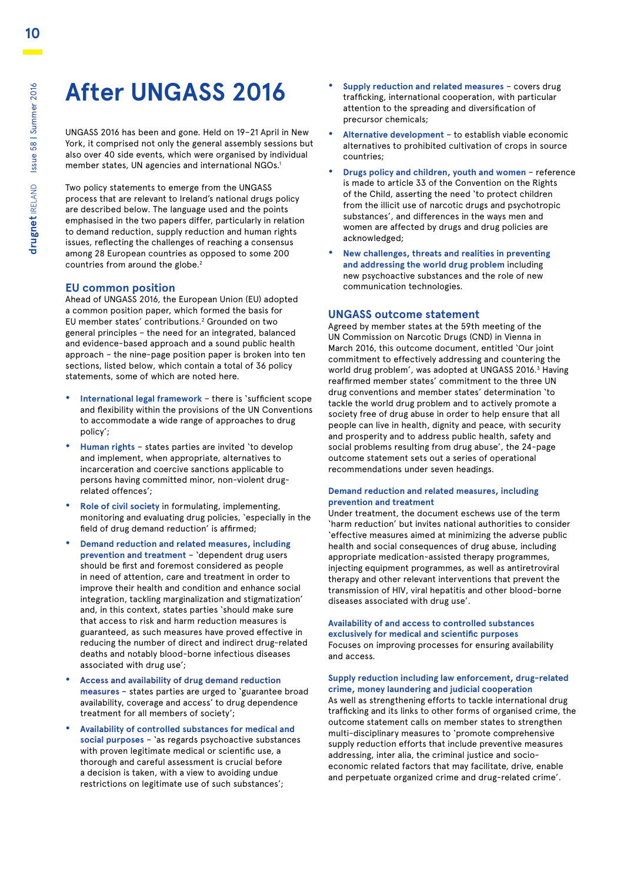# **After UNGASS 2016**

UNGASS 2016 has been and gone. Held on 19–21 April in New York, it comprised not only the general assembly sessions but also over 40 side events, which were organised by individual member states, UN agencies and international NGOs.<sup>1</sup>

Two policy statements to emerge from the UNGASS process that are relevant to Ireland's national drugs policy are described below. The language used and the points emphasised in the two papers differ, particularly in relation to demand reduction, supply reduction and human rights issues, reflecting the challenges of reaching a consensus among 28 European countries as opposed to some 200 countries from around the globe.<sup>2</sup>

#### **EU common position**

Ahead of UNGASS 2016, the European Union (EU) adopted a common position paper, which formed the basis for EU member states' contributions.<sup>2</sup> Grounded on two general principles – the need for an integrated, balanced and evidence-based approach and a sound public health approach – the nine-page position paper is broken into ten sections, listed below, which contain a total of 36 policy statements, some of which are noted here.

- **• International legal framework** there is 'sufficient scope and flexibility within the provisions of the UN Conventions to accommodate a wide range of approaches to drug policy';
- **• Human rights** states parties are invited 'to develop and implement, when appropriate, alternatives to incarceration and coercive sanctions applicable to persons having committed minor, non-violent drugrelated offences';
- **• Role of civil society** in formulating, implementing, monitoring and evaluating drug policies, 'especially in the field of drug demand reduction' is affirmed;
- **• Demand reduction and related measures, including prevention and treatment** – 'dependent drug users should be first and foremost considered as people in need of attention, care and treatment in order to improve their health and condition and enhance social integration, tackling marginalization and stigmatization' and, in this context, states parties 'should make sure that access to risk and harm reduction measures is guaranteed, as such measures have proved effective in reducing the number of direct and indirect drug-related deaths and notably blood-borne infectious diseases associated with drug use';
- **• Access and availability of drug demand reduction measures** – states parties are urged to 'guarantee broad availability, coverage and access' to drug dependence treatment for all members of society';
- **• Availability of controlled substances for medical and social purposes** – 'as regards psychoactive substances with proven legitimate medical or scientific use, a thorough and careful assessment is crucial before a decision is taken, with a view to avoiding undue restrictions on legitimate use of such substances';
- **• Supply reduction and related measures** covers drug trafficking, international cooperation, with particular attention to the spreading and diversification of precursor chemicals;
- **• Alternative development** to establish viable economic alternatives to prohibited cultivation of crops in source countries;
- **• Drugs policy and children, youth and women**  reference is made to article 33 of the Convention on the Rights of the Child, asserting the need 'to protect children from the illicit use of narcotic drugs and psychotropic substances', and differences in the ways men and women are affected by drugs and drug policies are acknowledged;
- **• New challenges, threats and realities in preventing and addressing the world drug problem** including new psychoactive substances and the role of new communication technologies.

#### **UNGASS outcome statement**

Agreed by member states at the 59th meeting of the UN Commission on Narcotic Drugs (CND) in Vienna in March 2016, this outcome document, entitled 'Our joint commitment to effectively addressing and countering the world drug problem', was adopted at UNGASS 2016.<sup>3</sup> Having reaffirmed member states' commitment to the three UN drug conventions and member states' determination 'to tackle the world drug problem and to actively promote a society free of drug abuse in order to help ensure that all people can live in health, dignity and peace, with security and prosperity and to address public health, safety and social problems resulting from drug abuse', the 24-page outcome statement sets out a series of operational recommendations under seven headings.

#### **Demand reduction and related measures, including prevention and treatment**

Under treatment, the document eschews use of the term 'harm reduction' but invites national authorities to consider 'effective measures aimed at minimizing the adverse public health and social consequences of drug abuse, including appropriate medication-assisted therapy programmes, injecting equipment programmes, as well as antiretroviral therapy and other relevant interventions that prevent the transmission of HIV, viral hepatitis and other blood-borne diseases associated with drug use'.

#### **Availability of and access to controlled substances exclusively for medical and scientific purposes**  Focuses on improving processes for ensuring availability and access.

**Supply reduction including law enforcement, drug-related crime, money laundering and judicial cooperation** As well as strengthening efforts to tackle international drug trafficking and its links to other forms of organised crime, the outcome statement calls on member states to strengthen multi-disciplinary measures to 'promote comprehensive supply reduction efforts that include preventive measures addressing, inter alia, the criminal justice and socioeconomic related factors that may facilitate, drive, enable and perpetuate organized crime and drug-related crime'.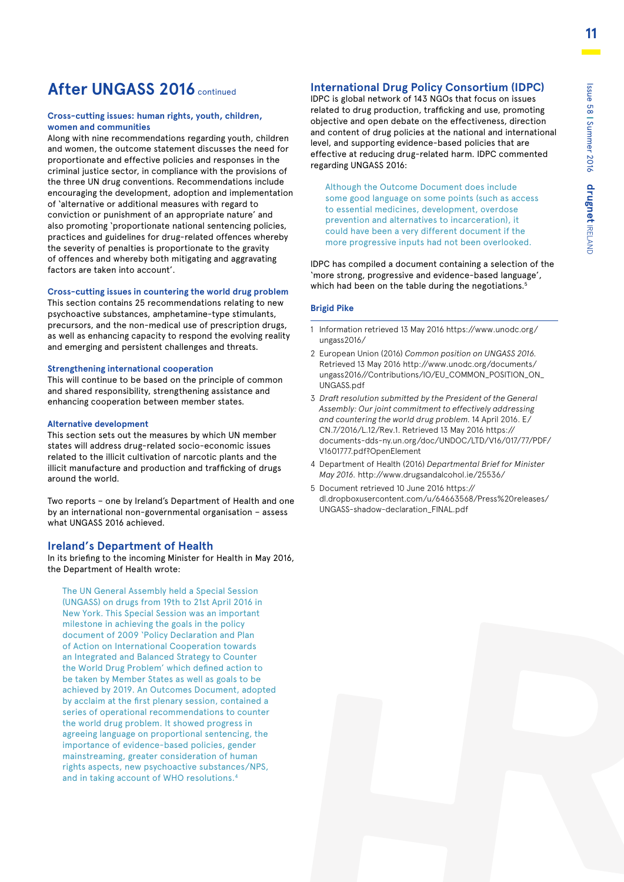### **After UNGASS 2016** continued

#### **Cross-cutting issues: human rights, youth, children, women and communities**

Along with nine recommendations regarding youth, children and women, the outcome statement discusses the need for proportionate and effective policies and responses in the criminal justice sector, in compliance with the provisions of the three UN drug conventions. Recommendations include encouraging the development, adoption and implementation of 'alternative or additional measures with regard to conviction or punishment of an appropriate nature' and also promoting 'proportionate national sentencing policies, practices and guidelines for drug-related offences whereby the severity of penalties is proportionate to the gravity of offences and whereby both mitigating and aggravating factors are taken into account'.

#### **Cross-cutting issues in countering the world drug problem**

This section contains 25 recommendations relating to new psychoactive substances, amphetamine-type stimulants, precursors, and the non-medical use of prescription drugs, as well as enhancing capacity to respond the evolving reality and emerging and persistent challenges and threats.

#### **Strengthening international cooperation**

This will continue to be based on the principle of common and shared responsibility, strengthening assistance and enhancing cooperation between member states.

#### **Alternative development**

This section sets out the measures by which UN member states will address drug-related socio-economic issues related to the illicit cultivation of narcotic plants and the illicit manufacture and production and trafficking of drugs around the world.

Two reports – one by Ireland's Department of Health and one by an international non-governmental organisation – assess what UNGASS 2016 achieved.

#### **Ireland's Department of Health**

In its briefing to the incoming Minister for Health in May 2016, the Department of Health wrote:

The UN General Assembly held a Special Session (UNGASS) on drugs from 19th to 21st April 2016 in New York. This Special Session was an important milestone in achieving the goals in the policy document of 2009 'Policy Declaration and Plan of Action on International Cooperation towards an Integrated and Balanced Strategy to Counter the World Drug Problem' which defined action to be taken by Member States as well as goals to be achieved by 2019. An Outcomes Document, adopted by acclaim at the first plenary session, contained a series of operational recommendations to counter the world drug problem. It showed progress in agreeing language on proportional sentencing, the importance of evidence-based policies, gender mainstreaming, greater consideration of human rights aspects, new psychoactive substances/NPS, and in taking account of WHO resolutions.4

#### **International Drug Policy Consortium (IDPC)**

IDPC is global network of 143 NGOs that focus on issues related to drug production, trafficking and use, promoting objective and open debate on the effectiveness, direction and content of drug policies at the national and international level, and supporting evidence-based policies that are effective at reducing drug-related harm. IDPC commented regarding UNGASS 2016:

Although the Outcome Document does include some good language on some points (such as access to essential medicines, development, overdose prevention and alternatives to incarceration), it could have been a very different document if the more progressive inputs had not been overlooked.

IDPC has compiled a document containing a selection of the 'more strong, progressive and evidence-based language', which had been on the table during the negotiations.<sup>5</sup>

#### **Brigid Pike**

- 1 Information retrieved 13 May 2016 https://www.unodc.org/ ungass2016/
- 2 European Union (2016) *Common position on UNGASS 2016.*  Retrieved 13 May 2016 http://www.unodc.org/documents/ ungass2016//Contributions/IO/EU\_COMMON\_POSITION\_ON\_ UNGASS.pdf
- 3 *Draft resolution submitted by the President of the General Assembly: Our joint commitment to effectively addressing and countering the world drug problem.* 14 April 2016. E/ CN.7/2016/L.12/Rev.1. Retrieved 13 May 2016 https:// documents-dds-ny.un.org/doc/UNDOC/LTD/V16/017/77/PDF/ V1601777.pdf?OpenElement
- 4 Department of Health (2016) *Departmental Brief for Minister May 2016.* http://www.drugsandalcohol.ie/25536/
- 5 Document retrieved 10 June 2016 https:// dl.dropboxusercontent.com/u/64663568/Press%20releases/ UNGASS-shadow-declaration\_FINAL.pdf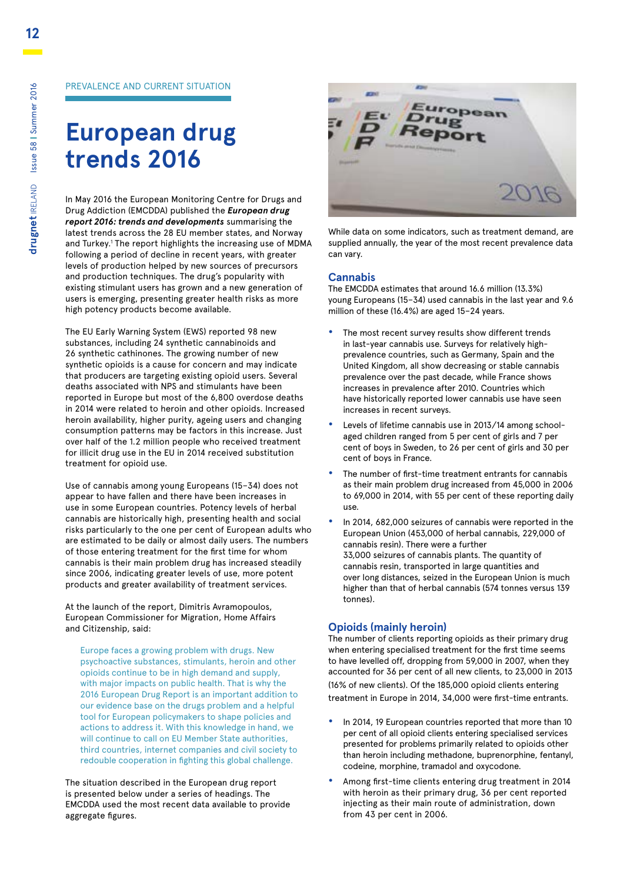# **European drug trends 2016**

In May 2016 the European Monitoring Centre for Drugs and Drug Addiction (EMCDDA) published the *European drug report 2016: trends and developments* summarising the latest trends across the 28 EU member states, and Norway and Turkey.<sup>1</sup> The report highlights the increasing use of MDMA following a period of decline in recent years, with greater levels of production helped by new sources of precursors and production techniques. The drug's popularity with existing stimulant users has grown and a new generation of users is emerging, presenting greater health risks as more high potency products become available.

The EU Early Warning System (EWS) reported 98 new substances, including 24 synthetic cannabinoids and 26 synthetic cathinones. The growing number of new synthetic opioids is a cause for concern and may indicate that producers are targeting existing opioid users. Several deaths associated with NPS and stimulants have been reported in Europe but most of the 6,800 overdose deaths in 2014 were related to heroin and other opioids. Increased heroin availability, higher purity, ageing users and changing consumption patterns may be factors in this increase. Just over half of the 1.2 million people who received treatment for illicit drug use in the EU in 2014 received substitution treatment for opioid use.

Use of cannabis among young Europeans (15–34) does not appear to have fallen and there have been increases in use in some European countries. Potency levels of herbal cannabis are historically high, presenting health and social risks particularly to the one per cent of European adults who are estimated to be daily or almost daily users. The numbers of those entering treatment for the first time for whom cannabis is their main problem drug has increased steadily since 2006, indicating greater levels of use, more potent products and greater availability of treatment services.

At the launch of the report, Dimitris Avramopoulos, European Commissioner for Migration, Home Affairs and Citizenship, said:

Europe faces a growing problem with drugs. New psychoactive substances, stimulants, heroin and other opioids continue to be in high demand and supply, with major impacts on public health. That is why the 2016 European Drug Report is an important addition to our evidence base on the drugs problem and a helpful tool for European policymakers to shape policies and actions to address it. With this knowledge in hand, we will continue to call on EU Member State authorities, third countries, internet companies and civil society to redouble cooperation in fighting this global challenge.

The situation described in the European drug report is presented below under a series of headings. The EMCDDA used the most recent data available to provide aggregate figures.



While data on some indicators, such as treatment demand, are supplied annually, the year of the most recent prevalence data can vary.

#### **Cannabis**

The EMCDDA estimates that around 16.6 million (13.3%) young Europeans (15–34) used cannabis in the last year and 9.6 million of these (16.4%) are aged 15–24 years.

- **•** The most recent survey results show different trends in last-year cannabis use. Surveys for relatively highprevalence countries, such as Germany, Spain and the United Kingdom, all show decreasing or stable cannabis prevalence over the past decade, while France shows increases in prevalence after 2010. Countries which have historically reported lower cannabis use have seen increases in recent surveys.
- **•** Levels of lifetime cannabis use in 2013/14 among schoolaged children ranged from 5 per cent of girls and 7 per cent of boys in Sweden, to 26 per cent of girls and 30 per cent of boys in France.
- **•** The number of first-time treatment entrants for cannabis as their main problem drug increased from 45,000 in 2006 to 69,000 in 2014, with 55 per cent of these reporting daily use.
- **•** In 2014, 682,000 seizures of cannabis were reported in the European Union (453,000 of herbal cannabis, 229,000 of cannabis resin). There were a further 33,000 seizures of cannabis plants. The quantity of cannabis resin, transported in large quantities and over long distances, seized in the European Union is much higher than that of herbal cannabis (574 tonnes versus 139 tonnes).

#### **Opioids (mainly heroin)**

The number of clients reporting opioids as their primary drug when entering specialised treatment for the first time seems to have levelled off, dropping from 59,000 in 2007, when they accounted for 36 per cent of all new clients, to 23,000 in 2013 (16% of new clients). Of the 185,000 opioid clients entering treatment in Europe in 2014, 34,000 were first-time entrants.

- **•** In 2014, 19 European countries reported that more than 10 per cent of all opioid clients entering specialised services presented for problems primarily related to opioids other than heroin including methadone, buprenorphine, fentanyl, codeine, morphine, tramadol and oxycodone.
- **•** Among first-time clients entering drug treatment in 2014 with heroin as their primary drug, 36 per cent reported injecting as their main route of administration, down from 43 per cent in 2006.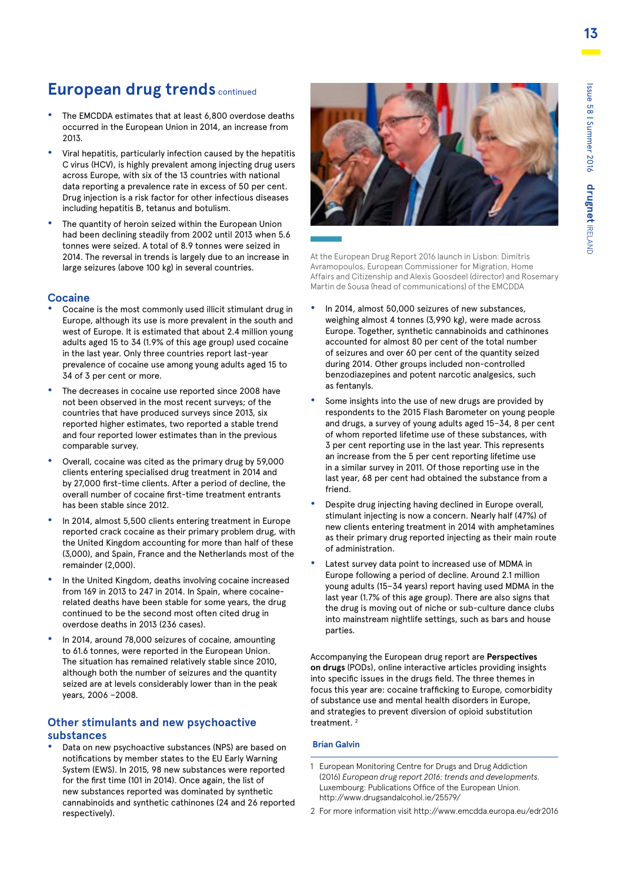### **European drug trends continued**

- **•** The EMCDDA estimates that at least 6,800 overdose deaths occurred in the European Union in 2014, an increase from 2013.
- **•** Viral hepatitis, particularly infection caused by the hepatitis C virus (HCV), is highly prevalent among injecting drug users across Europe, with six of the 13 countries with national data reporting a prevalence rate in excess of 50 per cent. Drug injection is a risk factor for other infectious diseases including hepatitis B, tetanus and botulism.
- **•** The quantity of heroin seized within the European Union had been declining steadily from 2002 until 2013 when 5.6 tonnes were seized. A total of 8.9 tonnes were seized in 2014. The reversal in trends is largely due to an increase in large seizures (above 100 kg) in several countries.

#### **Cocaine**

- **•** Cocaine is the most commonly used illicit stimulant drug in Europe, although its use is more prevalent in the south and west of Europe. It is estimated that about 2.4 million young adults aged 15 to 34 (1.9% of this age group) used cocaine in the last year. Only three countries report last-year prevalence of cocaine use among young adults aged 15 to 34 of 3 per cent or more.
- **•** The decreases in cocaine use reported since 2008 have not been observed in the most recent surveys; of the countries that have produced surveys since 2013, six reported higher estimates, two reported a stable trend and four reported lower estimates than in the previous comparable survey.
- **•** Overall, cocaine was cited as the primary drug by 59,000 clients entering specialised drug treatment in 2014 and by 27,000 first-time clients. After a period of decline, the overall number of cocaine first-time treatment entrants has been stable since 2012.
- **•** In 2014, almost 5,500 clients entering treatment in Europe reported crack cocaine as their primary problem drug, with the United Kingdom accounting for more than half of these (3,000), and Spain, France and the Netherlands most of the remainder (2,000).
- **•** In the United Kingdom, deaths involving cocaine increased from 169 in 2013 to 247 in 2014. In Spain, where cocainerelated deaths have been stable for some years, the drug continued to be the second most often cited drug in overdose deaths in 2013 (236 cases).
- **•** In 2014, around 78,000 seizures of cocaine, amounting to 61.6 tonnes, were reported in the European Union. The situation has remained relatively stable since 2010, although both the number of seizures and the quantity seized are at levels considerably lower than in the peak years, 2006 –2008.

#### **Other stimulants and new psychoactive substances**

**•** Data on new psychoactive substances (NPS) are based on notifications by member states to the EU Early Warning System (EWS). In 2015, 98 new substances were reported for the first time (101 in 2014). Once again, the list of new substances reported was dominated by synthetic cannabinoids and synthetic cathinones (24 and 26 reported respectively).



At the European Drug Report 2016 launch in Lisbon: Dimitris Avramopoulos, European Commissioner for Migration, Home Affairs and Citizenship and Alexis Goosdeel (director) and Rosemary Martin de Sousa (head of communications) of the EMCDDA

- **•** In 2014, almost 50,000 seizures of new substances, weighing almost 4 tonnes (3,990 kg), were made across Europe. Together, synthetic cannabinoids and cathinones accounted for almost 80 per cent of the total number of seizures and over 60 per cent of the quantity seized during 2014. Other groups included non-controlled benzodiazepines and potent narcotic analgesics, such as fentanyls.
- **•** Some insights into the use of new drugs are provided by respondents to the 2015 Flash Barometer on young people and drugs, a survey of young adults aged 15–34, 8 per cent of whom reported lifetime use of these substances, with 3 per cent reporting use in the last year. This represents an increase from the 5 per cent reporting lifetime use in a similar survey in 2011. Of those reporting use in the last year, 68 per cent had obtained the substance from a friend.
- **•** Despite drug injecting having declined in Europe overall, stimulant injecting is now a concern. Nearly half (47%) of new clients entering treatment in 2014 with amphetamines as their primary drug reported injecting as their main route of administration.
- **•** Latest survey data point to increased use of MDMA in Europe following a period of decline. Around 2.1 million young adults (15–34 years) report having used MDMA in the last year (1.7% of this age group). There are also signs that the drug is moving out of niche or sub-culture dance clubs into mainstream nightlife settings, such as bars and house parties.

Accompanying the European drug report are **Perspectives on drugs** (PODs), online interactive articles providing insights into specific issues in the drugs field. The three themes in focus this year are: cocaine trafficking to Europe, comorbidity of substance use and mental health disorders in Europe, and strategies to prevent diversion of opioid substitution treatment<sup>2</sup>

#### **Brian Galvin**

- 1 European Monitoring Centre for Drugs and Drug Addiction (2016) *European drug report 2016: trends and developments.* Luxembourg: Publications Office of the European Union. http://www.drugsandalcohol.ie/25579/
- 2 For more information visit http://www.emcdda.europa.eu/edr2016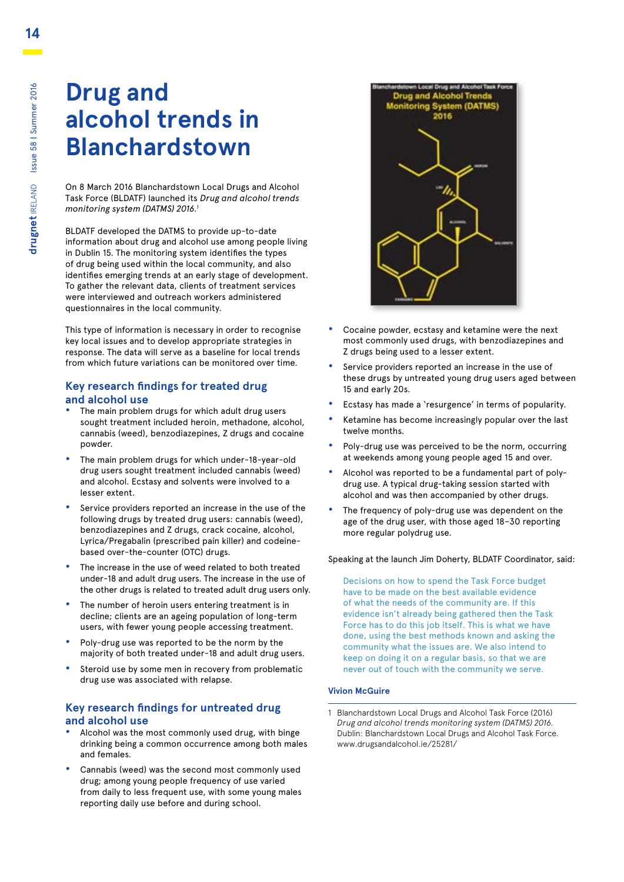# **Drug and alcohol trends in Blanchardstown**

On 8 March 2016 Blanchardstown Local Drugs and Alcohol Task Force (BLDATF) launched its *Drug and alcohol trends monitoring system (DATMS) 2016.1*

BLDATF developed the DATMS to provide up-to-date information about drug and alcohol use among people living in Dublin 15. The monitoring system identifies the types of drug being used within the local community, and also identifies emerging trends at an early stage of development. To gather the relevant data, clients of treatment services were interviewed and outreach workers administered questionnaires in the local community.

This type of information is necessary in order to recognise key local issues and to develop appropriate strategies in response. The data will serve as a baseline for local trends from which future variations can be monitored over time.

#### **Key research findings for treated drug and alcohol use**

- **•** The main problem drugs for which adult drug users sought treatment included heroin, methadone, alcohol, cannabis (weed), benzodiazepines, Z drugs and cocaine powder.
- **•** The main problem drugs for which under-18-year-old drug users sought treatment included cannabis (weed) and alcohol. Ecstasy and solvents were involved to a lesser extent.
- **•** Service providers reported an increase in the use of the following drugs by treated drug users: cannabis (weed), benzodiazepines and Z drugs, crack cocaine, alcohol, Lyrica/Pregabalin (prescribed pain killer) and codeinebased over-the-counter (OTC) drugs.
- **•** The increase in the use of weed related to both treated under-18 and adult drug users. The increase in the use of the other drugs is related to treated adult drug users only.
- **•** The number of heroin users entering treatment is in decline; clients are an ageing population of long-term users, with fewer young people accessing treatment.
- **•** Poly-drug use was reported to be the norm by the majority of both treated under-18 and adult drug users.
- **•** Steroid use by some men in recovery from problematic drug use was associated with relapse.

#### **Key research findings for untreated drug and alcohol use**

- **•** Alcohol was the most commonly used drug, with binge drinking being a common occurrence among both males and females.
- **•** Cannabis (weed) was the second most commonly used drug; among young people frequency of use varied from daily to less frequent use, with some young males reporting daily use before and during school.



- **•** Cocaine powder, ecstasy and ketamine were the next most commonly used drugs, with benzodiazepines and Z drugs being used to a lesser extent.
- **•** Service providers reported an increase in the use of these drugs by untreated young drug users aged between 15 and early 20s.
- **•** Ecstasy has made a 'resurgence' in terms of popularity.
- **•** Ketamine has become increasingly popular over the last twelve months.
- **•** Poly-drug use was perceived to be the norm, occurring at weekends among young people aged 15 and over.
- **•** Alcohol was reported to be a fundamental part of polydrug use. A typical drug-taking session started with alcohol and was then accompanied by other drugs.
- **•** The frequency of poly-drug use was dependent on the age of the drug user, with those aged 18–30 reporting more regular polydrug use.

#### Speaking at the launch Jim Doherty, BLDATF Coordinator, said:

Decisions on how to spend the Task Force budget have to be made on the best available evidence of what the needs of the community are. If this evidence isn't already being gathered then the Task Force has to do this job itself. This is what we have done, using the best methods known and asking the community what the issues are. We also intend to keep on doing it on a regular basis, so that we are never out of touch with the community we serve.

#### **Vivion McGuire**

<sup>1</sup> Blanchardstown Local Drugs and Alcohol Task Force (2016) *Drug and alcohol trends monitoring system (DATMS) 2016.*  Dublin: Blanchardstown Local Drugs and Alcohol Task Force. www.drugsandalcohol.ie/25281/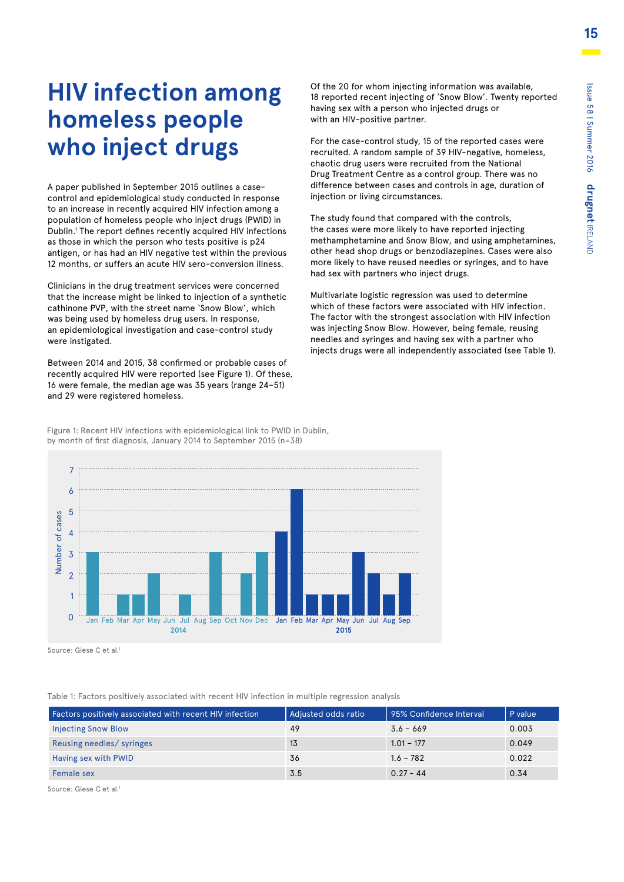# **HIV infection among homeless people who inject drugs**

A paper published in September 2015 outlines a casecontrol and epidemiological study conducted in response 7 to an increase in recently acquired HIV infection among a population of homeless people who inject drugs (PWID) in 6 Dublin.1 The report defines recently acquired HIV infections Dublin." The report defines recently acquired Hiv Infect<br>as those in which the person who tests positive is p24 antigen, or has had an HIV negative test within the previous antigen, or nas nad an HIV negative test within the previous<br>12 months, or suffers an acute HIV sero-conversion illness.

Clinicians in the drug treatment services were concerned 3 that the increase might be linked to injection of a synthetic 2 cathinone PVP, with the street name 'Snow Blow', which was being used by homeless drug users. In response,<br>executive is the linear institution and accepted to the line an epidemiological investigation and case-control study were instigated.

Between 2014 and 2015, 38 confirmed or probable cases of recently acquired HIV were reported (see Figure 1). Of these, 16 were female, the median age was 35 years (range 24–51) and 29 were registered homeless.

Of the 20 for whom injecting information was available, 18 reported recent injecting of 'Snow Blow'. Twenty reported having sex with a person who injected drugs or with an HIV-positive partner.

For the case-control study, 15 of the reported cases were recruited. A random sample of 39 HIV-negative, homeless, chaotic drug users were recruited from the National Drug Treatment Centre as a control group. There was no difference between cases and controls in age, duration of injection or living circumstances.

The study found that compared with the controls, The study found that compared with the controls,<br>the cases were more likely to have reported injecting methamphetamine and Snow Blow, and using amphetamines, methamphetamine and show blow, and using amphetamines<br>other head shop drugs or benzodiazepines. Cases were also more likely to have reused needles or syringes, and to have 5 had sex with partners who inject drugs.

Multivariate logistic regression was used to determine 4 which of these factors were associated with HIV infection.<br>The factor with the strangest association with HIV infection The factor with the strongest association with HIV infection was injecting Snow Blow. However, being female, reusing 2 needles and syringes and having sex with a partner who injects drugs were all independently associated (see Table 1). 1

Figure 1: Recent HIV infections with epidemiological link to PWID in Dublin, by month of first diagnosis, January 2014 to September 2015 (n=38)



Source: Giese C et al.<sup>1</sup>

Table 1: Factors positively associated with recent HIV infection in multiple regression analysis

| <b>Factors positively associated with recent HIV infection</b> | Adjusted odds ratio | 95% Confidence Interval | $P$ value |
|----------------------------------------------------------------|---------------------|-------------------------|-----------|
| <b>Injecting Snow Blow</b>                                     | 49                  | $3.6 - 669$             | 0.003     |
| Reusing needles/ syringes                                      | 13                  | $1.01 - 177$            | 0.049     |
| Having sex with PWID                                           | 36                  | $1.6 - 782$             | 0.022     |
| Female sex                                                     | 3.5                 | $0.27 - 44$             | 0.34      |

Source: Giese C et al.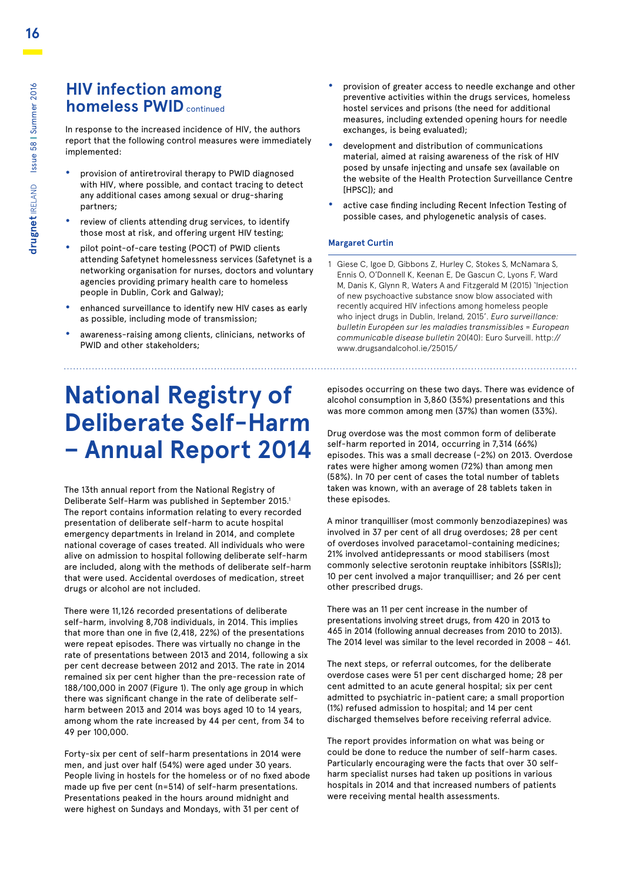### **HIV infection among homeless PWID** continued

In response to the increased incidence of HIV, the authors report that the following control measures were immediately implemented:

- **•** provision of antiretroviral therapy to PWID diagnosed with HIV, where possible, and contact tracing to detect any additional cases among sexual or drug-sharing partners;
- **•** review of clients attending drug services, to identify those most at risk, and offering urgent HIV testing;
- **•** pilot point-of-care testing (POCT) of PWID clients attending Safetynet homelessness services (Safetynet is a networking organisation for nurses, doctors and voluntary agencies providing primary health care to homeless people in Dublin, Cork and Galway);
- **•** enhanced surveillance to identify new HIV cases as early as possible, including mode of transmission;
- **•** awareness-raising among clients, clinicians, networks of PWID and other stakeholders;

### **National Registry of Deliberate Self-Harm – Annual Report 2014**

The 13th annual report from the National Registry of Deliberate Self-Harm was published in September 2015.1 The report contains information relating to every recorded presentation of deliberate self-harm to acute hospital emergency departments in Ireland in 2014, and complete national coverage of cases treated. All individuals who were alive on admission to hospital following deliberate self-harm are included, along with the methods of deliberate self-harm that were used. Accidental overdoses of medication, street drugs or alcohol are not included.

There were 11,126 recorded presentations of deliberate self-harm, involving 8,708 individuals, in 2014. This implies that more than one in five (2,418, 22%) of the presentations were repeat episodes. There was virtually no change in the rate of presentations between 2013 and 2014, following a six per cent decrease between 2012 and 2013. The rate in 2014 remained six per cent higher than the pre-recession rate of 188/100,000 in 2007 (Figure 1). The only age group in which there was significant change in the rate of deliberate selfharm between 2013 and 2014 was boys aged 10 to 14 years, among whom the rate increased by 44 per cent, from 34 to 49 per 100,000.

Forty-six per cent of self-harm presentations in 2014 were men, and just over half (54%) were aged under 30 years. People living in hostels for the homeless or of no fixed abode made up five per cent (n=514) of self-harm presentations. Presentations peaked in the hours around midnight and were highest on Sundays and Mondays, with 31 per cent of

- **•** provision of greater access to needle exchange and other preventive activities within the drugs services, homeless hostel services and prisons (the need for additional measures, including extended opening hours for needle exchanges, is being evaluated);
- **•** development and distribution of communications material, aimed at raising awareness of the risk of HIV posed by unsafe injecting and unsafe sex (available on the website of the Health Protection Surveillance Centre [HPSC]); and
- **•** active case finding including Recent Infection Testing of possible cases, and phylogenetic analysis of cases.

#### **Margaret Curtin**

1 Giese C, Igoe D, Gibbons Z, Hurley C, Stokes S, McNamara S, Ennis O, O'Donnell K, Keenan E, De Gascun C, Lyons F, Ward M, Danis K, Glynn R, Waters A and Fitzgerald M (2015) 'Injection of new psychoactive substance snow blow associated with recently acquired HIV infections among homeless people who inject drugs in Dublin, Ireland, 2015'. *Euro surveillance: bulletin Européen sur les maladies transmissibles = European communicable disease bulletin* 20(40): Euro Surveill. http:// www.drugsandalcohol.ie/25015/

episodes occurring on these two days. There was evidence of alcohol consumption in 3,860 (35%) presentations and this was more common among men (37%) than women (33%).

Drug overdose was the most common form of deliberate self-harm reported in 2014, occurring in 7,314 (66%) episodes. This was a small decrease (-2%) on 2013. Overdose rates were higher among women (72%) than among men (58%). In 70 per cent of cases the total number of tablets taken was known, with an average of 28 tablets taken in these episodes.

A minor tranquilliser (most commonly benzodiazepines) was involved in 37 per cent of all drug overdoses; 28 per cent of overdoses involved paracetamol-containing medicines; 21% involved antidepressants or mood stabilisers (most commonly selective serotonin reuptake inhibitors [SSRIs]); 10 per cent involved a major tranquilliser; and 26 per cent other prescribed drugs.

There was an 11 per cent increase in the number of presentations involving street drugs, from 420 in 2013 to 465 in 2014 (following annual decreases from 2010 to 2013). The 2014 level was similar to the level recorded in 2008 – 461.

The next steps, or referral outcomes, for the deliberate overdose cases were 51 per cent discharged home; 28 per cent admitted to an acute general hospital; six per cent admitted to psychiatric in-patient care; a small proportion (1%) refused admission to hospital; and 14 per cent discharged themselves before receiving referral advice.

The report provides information on what was being or could be done to reduce the number of self-harm cases. Particularly encouraging were the facts that over 30 selfharm specialist nurses had taken up positions in various hospitals in 2014 and that increased numbers of patients were receiving mental health assessments.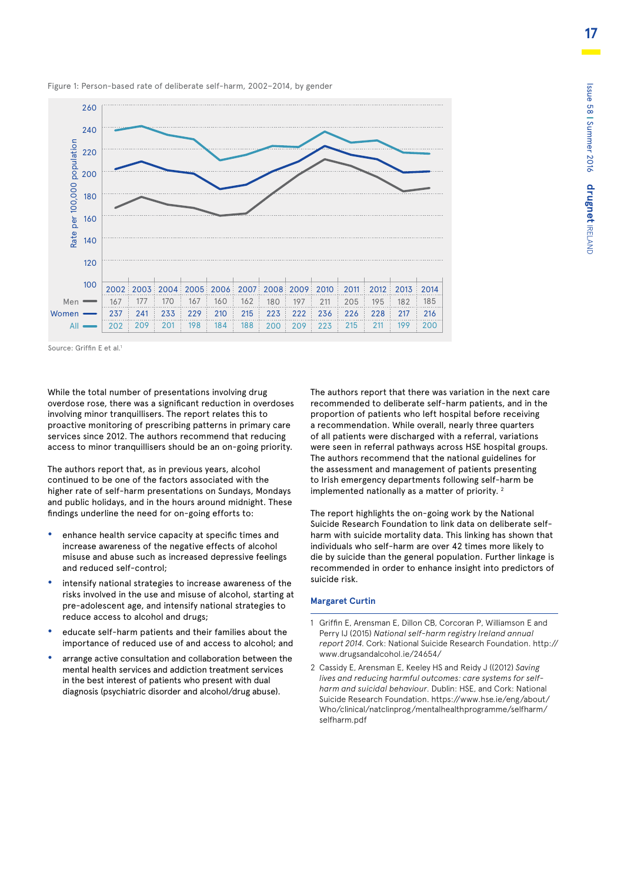

Figure 1: Person-based rate of deliberate self-harm, 2002–2014, by gender

Source: Griffin E et al.

While the total number of presentations involving drug overdose rose, there was a significant reduction in overdoses involving minor tranquillisers. The report relates this to proactive monitoring of prescribing patterns in primary care services since 2012. The authors recommend that reducing access to minor tranquillisers should be an on-going priority.

The authors report that, as in previous years, alcohol continued to be one of the factors associated with the higher rate of self-harm presentations on Sundays, Mondays and public holidays, and in the hours around midnight. These findings underline the need for on-going efforts to:

- **•** enhance health service capacity at specific times and increase awareness of the negative effects of alcohol misuse and abuse such as increased depressive feelings and reduced self-control;
- **•** intensify national strategies to increase awareness of the risks involved in the use and misuse of alcohol, starting at pre-adolescent age, and intensify national strategies to reduce access to alcohol and drugs;
- **•** educate self-harm patients and their families about the importance of reduced use of and access to alcohol; and
- **•** arrange active consultation and collaboration between the mental health services and addiction treatment services in the best interest of patients who present with dual

The authors report that there was variation in the next care recommended to deliberate self-harm patients, and in the proportion of patients who left hospital before receiving a recommendation. While overall, nearly three quarters of all patients were discharged with a referral, variations were seen in referral pathways across HSE hospital groups. The authors recommend that the national guidelines for the assessment and management of patients presenting to Irish emergency departments following self-harm be implemented nationally as a matter of priority. 2

The report highlights the on-going work by the National Suicide Research Foundation to link data on deliberate selfharm with suicide mortality data. This linking has shown that individuals who self-harm are over 42 times more likely to die by suicide than the general population. Further linkage is recommended in order to enhance insight into predictors of suicide risk.

#### **Margaret Curtin**

- 1 Griffin E, Arensman E, Dillon CB, Corcoran P, Williamson E and Perry IJ (2015) *National self-harm registry Ireland annual report 2014.* Cork: National Suicide Research Foundation. http:// www.drugsandalcohol.ie/24654/
- 2 Cassidy E, Arensman E, Keeley HS and Reidy J ((2012) *Saving lives and reducing harmful outcomes: care systems for selfharm and suicidal behaviour.* Dublin: HSE, and Cork: National Suicide Research Foundation. https://www.hse.ie/eng/about/ Who/clinical/natclinprog/mentalhealthprogramme/selfharm/ selfharm.pdf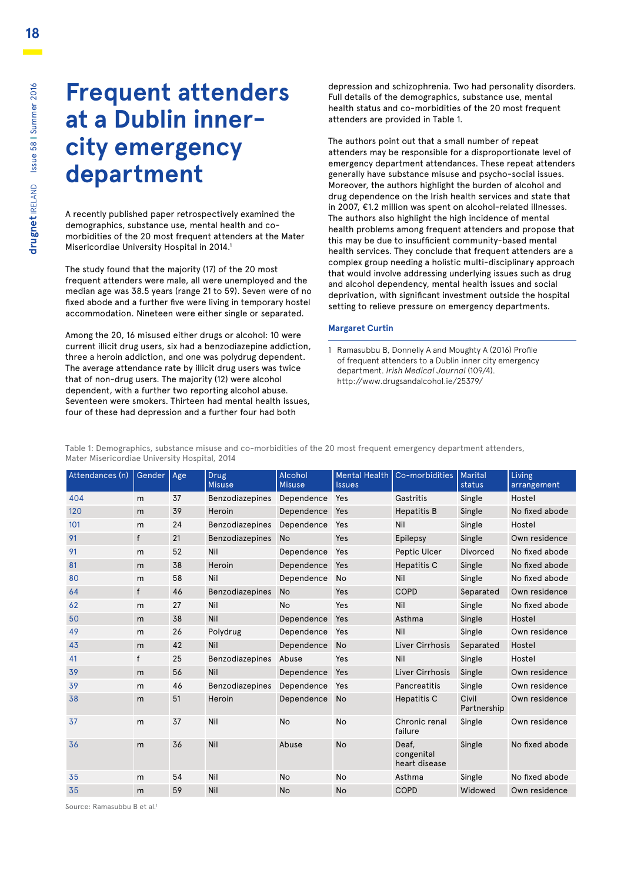### **Frequent attenders at a Dublin innercity emergency department**

A recently published paper retrospectively examined the demographics, substance use, mental health and comorbidities of the 20 most frequent attenders at the Mater Misericordiae University Hospital in 2014.<sup>1</sup>

The study found that the majority (17) of the 20 most frequent attenders were male, all were unemployed and the median age was 38.5 years (range 21 to 59). Seven were of no fixed abode and a further five were living in temporary hostel accommodation. Nineteen were either single or separated.

Among the 20, 16 misused either drugs or alcohol: 10 were current illicit drug users, six had a benzodiazepine addiction, three a heroin addiction, and one was polydrug dependent. The average attendance rate by illicit drug users was twice that of non-drug users. The majority (12) were alcohol dependent, with a further two reporting alcohol abuse. Seventeen were smokers. Thirteen had mental health issues, four of these had depression and a further four had both

depression and schizophrenia. Two had personality disorders. Full details of the demographics, substance use, mental health status and co-morbidities of the 20 most frequent attenders are provided in Table 1.

The authors point out that a small number of repeat attenders may be responsible for a disproportionate level of emergency department attendances. These repeat attenders generally have substance misuse and psycho-social issues. Moreover, the authors highlight the burden of alcohol and drug dependence on the Irish health services and state that in 2007, €1.2 million was spent on alcohol-related illnesses. The authors also highlight the high incidence of mental health problems among frequent attenders and propose that this may be due to insufficient community-based mental health services. They conclude that frequent attenders are a complex group needing a holistic multi-disciplinary approach that would involve addressing underlying issues such as drug and alcohol dependency, mental health issues and social deprivation, with significant investment outside the hospital setting to relieve pressure on emergency departments.

#### **Margaret Curtin**

1 Ramasubbu B, Donnelly A and Moughty A (2016) Profile of frequent attenders to a Dublin inner city emergency department. *Irish Medical Journal* (109/4). http://www.drugsandalcohol.ie/25379/

Table 1: Demographics, substance misuse and co-morbidities of the 20 most frequent emergency department attenders, Mater Misericordiae University Hospital, 2014

| Attendances (n) | Gender       | Age | <b>Drug</b><br><b>Misuse</b> | Alcohol<br><b>Misuse</b> | <b>Mental Health</b><br><b>Issues</b> | Co-morbidities                       | <b>Marital</b><br>status | Living<br>arrangement |
|-----------------|--------------|-----|------------------------------|--------------------------|---------------------------------------|--------------------------------------|--------------------------|-----------------------|
| 404             | m            | 37  | Benzodiazepines              | Dependence               | Yes                                   | Gastritis                            | Single                   | Hostel                |
| 120             | m            | 39  | Heroin                       | Dependence               | Yes                                   | <b>Hepatitis B</b>                   | Single                   | No fixed abode        |
| 101             | m            | 24  | <b>Benzodiazepines</b>       | Dependence               | Yes                                   | Nil                                  | Single                   | Hostel                |
| 91              | f            | 21  | <b>Benzodiazepines</b>       | <b>No</b>                | Yes                                   | <b>Epilepsy</b>                      | Single                   | Own residence         |
| 91              | m            | 52  | Nil                          | Dependence               | Yes                                   | Peptic Ulcer                         | <b>Divorced</b>          | No fixed abode        |
| 81              | m            | 38  | Heroin                       | Dependence               | Yes                                   | Hepatitis C                          | Single                   | No fixed abode        |
| 80              | m            | 58  | Nil                          | Dependence               | <b>No</b>                             | Nil                                  | Single                   | No fixed abode        |
| 64              | f            | 46  | <b>Benzodiazepines</b>       | <b>No</b>                | Yes                                   | COPD                                 | Separated                | Own residence         |
| 62              | m            | 27  | Nil                          | No                       | Yes                                   | Nil                                  | Single                   | No fixed abode        |
| 50              | m            | 38  | Nil                          | Dependence               | Yes                                   | Asthma                               | Single                   | Hostel                |
| 49              | m            | 26  | Polydrug                     | Dependence               | Yes                                   | Nil                                  | Single                   | Own residence         |
| 43              | m            | 42  | Nil                          | Dependence               | <b>No</b>                             | Liver Cirrhosis                      | Separated                | Hostel                |
| 41              | $\mathsf{f}$ | 25  | Benzodiazepines              | Abuse                    | Yes                                   | Nil                                  | Single                   | Hostel                |
| 39              | m            | 56  | Nil                          | Dependence               | Yes                                   | Liver Cirrhosis                      | Single                   | Own residence         |
| 39              | m            | 46  | <b>Benzodiazepines</b>       | Dependence               | Yes                                   | Pancreatitis                         | Single                   | Own residence         |
| 38              | m            | 51  | Heroin                       | Dependence               | <b>No</b>                             | <b>Hepatitis C</b>                   | Civil<br>Partnership     | Own residence         |
| 37              | m            | 37  | Nil                          | <b>No</b>                | <b>No</b>                             | Chronic renal<br>failure             | Single                   | Own residence         |
| 36              | m            | 36  | Nil                          | Abuse                    | <b>No</b>                             | Deaf.<br>congenital<br>heart disease | Single                   | No fixed abode        |
| 35              | m            | 54  | Nil                          | <b>No</b>                | <b>No</b>                             | Asthma                               | Single                   | No fixed abode        |
| 35              | m            | 59  | Nil                          | <b>No</b>                | <b>No</b>                             | <b>COPD</b>                          | Widowed                  | Own residence         |

Source: Ramasubbu B et al.1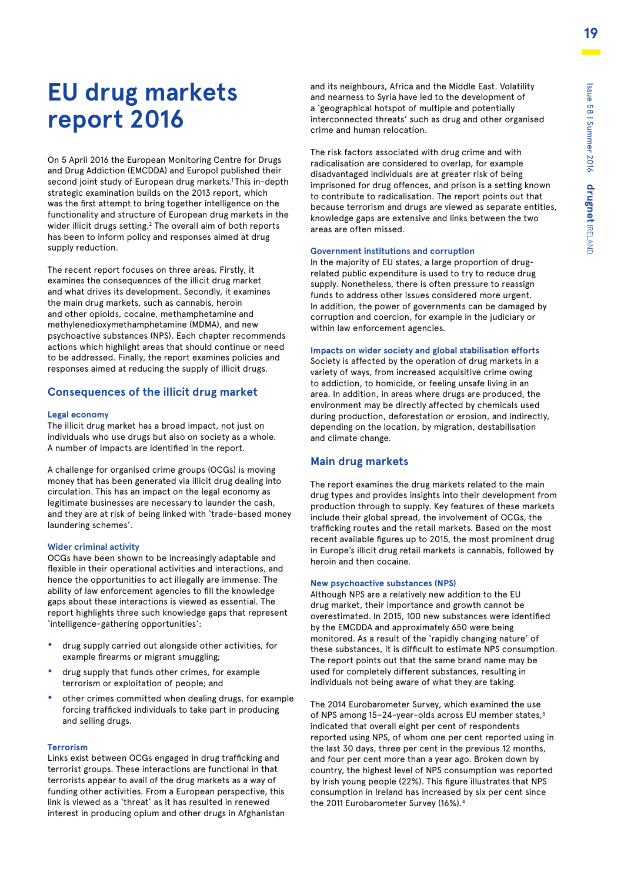# **EU drug markets report 2016**

On 5 April 2016 the European Monitoring Centre for Drugs and Drug Addiction (EMCDDA) and Europol published their second joint study of European drug markets.<sup>1</sup>This in-depth strategic examination builds on the 2013 report, which was the first attempt to bring together intelligence on the functionality and structure of European drug markets in the wider illicit drugs setting.<sup>2</sup> The overall aim of both reports has been to inform policy and responses aimed at drug supply reduction.

The recent report focuses on three areas. Firstly, it examines the consequences of the illicit drug market and what drives its development. Secondly, it examines the main drug markets, such as cannabis, heroin and other opioids, cocaine, methamphetamine and methylenedioxymethamphetamine (MDMA), and new psychoactive substances (NPS). Each chapter recommends actions which highlight areas that should continue or need to be addressed. Finally, the report examines policies and responses aimed at reducing the supply of illicit drugs.

#### **Consequences of the illicit drug market**

#### **Legal economy**

The illicit drug market has a broad impact, not just on individuals who use drugs but also on society as a whole. A number of impacts are identified in the report.

A challenge for organised crime groups (OCGs) is moving money that has been generated via illicit drug dealing into circulation. This has an impact on the legal economy as legitimate businesses are necessary to launder the cash, and they are at risk of being linked with 'trade-based money laundering schemes'.

#### **Wider criminal activity**

OCGs have been shown to be increasingly adaptable and flexible in their operational activities and interactions, and hence the opportunities to act illegally are immense. The ability of law enforcement agencies to fill the knowledge gaps about these interactions is viewed as essential. The report highlights three such knowledge gaps that represent 'intelligence-gathering opportunities':

- **•** drug supply carried out alongside other activities, for example firearms or migrant smuggling;
- **•** drug supply that funds other crimes, for example terrorism or exploitation of people; and
- **•** other crimes committed when dealing drugs, for example forcing trafficked individuals to take part in producing and selling drugs.

#### **Terrorism**

Links exist between OCGs engaged in drug trafficking and terrorist groups. These interactions are functional in that terrorists appear to avail of the drug markets as a way of funding other activities. From a European perspective, this link is viewed as a 'threat' as it has resulted in renewed interest in producing opium and other drugs in Afghanistan and its neighbours, Africa and the Middle East. Volatility and nearness to Syria have led to the development of a 'geographical hotspot of multiple and potentially interconnected threats' such as drug and other organised crime and human relocation.

The risk factors associated with drug crime and with radicalisation are considered to overlap, for example disadvantaged individuals are at greater risk of being imprisoned for drug offences, and prison is a setting known to contribute to radicalisation. The report points out that because terrorism and drugs are viewed as separate entities, knowledge gaps are extensive and links between the two areas are often missed.

#### **Government institutions and corruption**

In the majority of EU states, a large proportion of drugrelated public expenditure is used to try to reduce drug supply. Nonetheless, there is often pressure to reassign funds to address other issues considered more urgent. In addition, the power of governments can be damaged by corruption and coercion, for example in the judiciary or within law enforcement agencies.

#### **Impacts on wider society and global stabilisation efforts**

Society is affected by the operation of drug markets in a variety of ways, from increased acquisitive crime owing to addiction, to homicide, or feeling unsafe living in an area. In addition, in areas where drugs are produced, the environment may be directly affected by chemicals used during production, deforestation or erosion, and indirectly, depending on the location, by migration, destabilisation and climate change.

#### **Main drug markets**

The report examines the drug markets related to the main drug types and provides insights into their development from production through to supply. Key features of these markets include their global spread, the involvement of OCGs, the trafficking routes and the retail markets. Based on the most recent available figures up to 2015, the most prominent drug in Europe's illicit drug retail markets is cannabis, followed by heroin and then cocaine.

#### **New psychoactive substances (NPS)**

Although NPS are a relatively new addition to the EU drug market, their importance and growth cannot be overestimated. In 2015, 100 new substances were identified by the EMCDDA and approximately 650 were being monitored. As a result of the 'rapidly changing nature' of these substances, it is difficult to estimate NPS consumption. The report points out that the same brand name may be used for completely different substances, resulting in individuals not being aware of what they are taking.

The 2014 Eurobarometer Survey, which examined the use of NPS among 15-24-year-olds across EU member states,<sup>3</sup> indicated that overall eight per cent of respondents reported using NPS, of whom one per cent reported using in the last 30 days, three per cent in the previous 12 months, and four per cent more than a year ago. Broken down by country, the highest level of NPS consumption was reported by Irish young people (22%). This figure illustrates that NPS consumption in Ireland has increased by six per cent since the 2011 Eurobarometer Survey (16%).4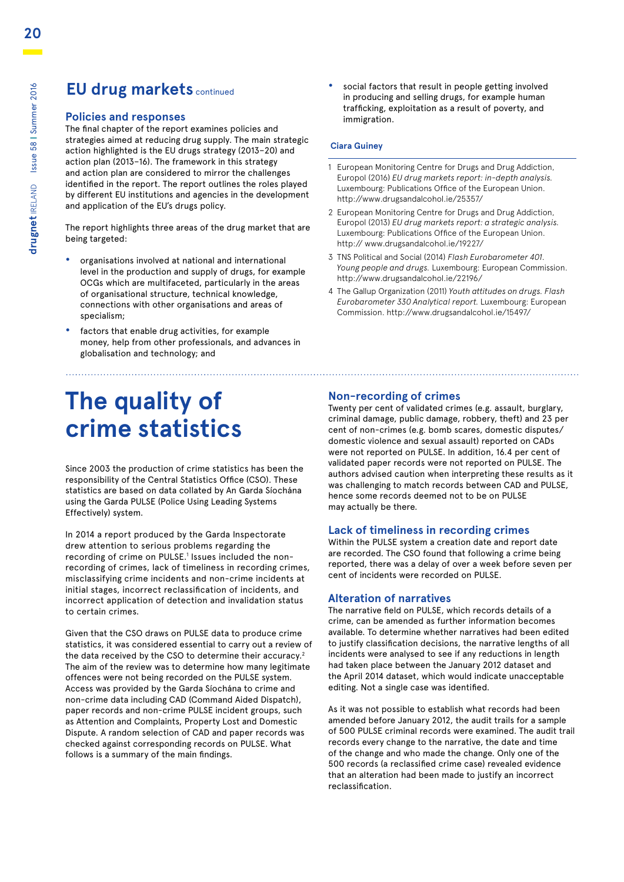### **EU drug markets continued**

#### **Policies and responses**

The final chapter of the report examines policies and strategies aimed at reducing drug supply. The main strategic action highlighted is the EU drugs strategy (2013–20) and action plan (2013–16). The framework in this strategy and action plan are considered to mirror the challenges identified in the report. The report outlines the roles played by different EU institutions and agencies in the development and application of the EU's drugs policy.

The report highlights three areas of the drug market that are being targeted:

- **•** organisations involved at national and international level in the production and supply of drugs, for example OCGs which are multifaceted, particularly in the areas of organisational structure, technical knowledge, connections with other organisations and areas of specialism;
- **•** factors that enable drug activities, for example money, help from other professionals, and advances in globalisation and technology; and

# **The quality of crime statistics**

Since 2003 the production of crime statistics has been the responsibility of the Central Statistics Office (CSO). These statistics are based on data collated by An Garda Síochána using the Garda PULSE (Police Using Leading Systems Effectively) system.

In 2014 a report produced by the Garda Inspectorate drew attention to serious problems regarding the recording of crime on PULSE.<sup>1</sup> Issues included the nonrecording of crimes, lack of timeliness in recording crimes, misclassifying crime incidents and non-crime incidents at initial stages, incorrect reclassification of incidents, and incorrect application of detection and invalidation status to certain crimes.

Given that the CSO draws on PULSE data to produce crime statistics, it was considered essential to carry out a review of the data received by the CSO to determine their accuracy.<sup>2</sup> The aim of the review was to determine how many legitimate offences were not being recorded on the PULSE system. Access was provided by the Garda Síochána to crime and non-crime data including CAD (Command Aided Dispatch), paper records and non-crime PULSE incident groups, such as Attention and Complaints, Property Lost and Domestic Dispute. A random selection of CAD and paper records was checked against corresponding records on PULSE. What follows is a summary of the main findings.

**•** social factors that result in people getting involved in producing and selling drugs, for example human trafficking, exploitation as a result of poverty, and immigration.

#### **Ciara Guiney**

- 1 European Monitoring Centre for Drugs and Drug Addiction, Europol (2016) *EU drug markets report: in-depth analysis.*  Luxembourg: Publications Office of the European Union. http://www.drugsandalcohol.ie/25357/
- 2 European Monitoring Centre for Drugs and Drug Addiction, Europol (2013) *EU drug markets report: a strategic analysis.*  Luxembourg: Publications Office of the European Union. http:// www.drugsandalcohol.ie/19227/
- 3 TNS Political and Social (2014) *Flash Eurobarometer 401. Young people and drugs.* Luxembourg: European Commission. http://www.drugsandalcohol.ie/22196/
- 4 The Gallup Organization (2011) *Youth attitudes on drugs. Flash Eurobarometer 330 Analytical report.* Luxembourg: European Commission. http://www.drugsandalcohol.ie/15497/

#### **Non-recording of crimes**

Twenty per cent of validated crimes (e.g. assault, burglary, criminal damage, public damage, robbery, theft) and 23 per cent of non-crimes (e.g. bomb scares, domestic disputes/ domestic violence and sexual assault) reported on CADs were not reported on PULSE. In addition, 16.4 per cent of validated paper records were not reported on PULSE. The authors advised caution when interpreting these results as it was challenging to match records between CAD and PULSE, hence some records deemed not to be on PULSE may actually be there.

#### **Lack of timeliness in recording crimes**

Within the PULSE system a creation date and report date are recorded. The CSO found that following a crime being reported, there was a delay of over a week before seven per cent of incidents were recorded on PULSE.

#### **Alteration of narratives**

The narrative field on PULSE, which records details of a crime, can be amended as further information becomes available. To determine whether narratives had been edited to justify classification decisions, the narrative lengths of all incidents were analysed to see if any reductions in length had taken place between the January 2012 dataset and the April 2014 dataset, which would indicate unacceptable editing. Not a single case was identified.

As it was not possible to establish what records had been amended before January 2012, the audit trails for a sample of 500 PULSE criminal records were examined. The audit trail records every change to the narrative, the date and time of the change and who made the change. Only one of the 500 records (a reclassified crime case) revealed evidence that an alteration had been made to justify an incorrect reclassification.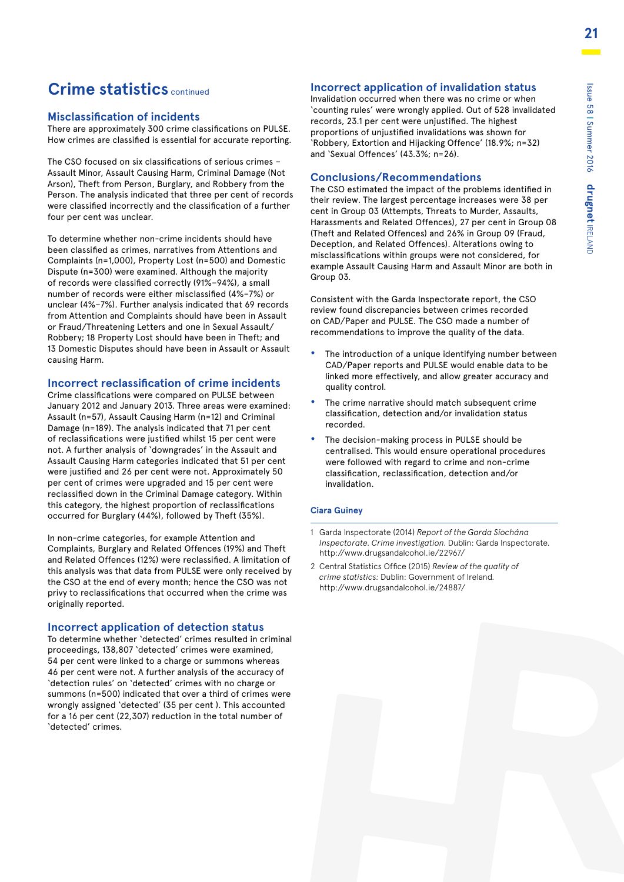### **Crime statistics** continued

#### **Misclassification of incidents**

There are approximately 300 crime classifications on PULSE. How crimes are classified is essential for accurate reporting.

The CSO focused on six classifications of serious crimes – Assault Minor, Assault Causing Harm, Criminal Damage (Not Arson), Theft from Person, Burglary, and Robbery from the Person. The analysis indicated that three per cent of records were classified incorrectly and the classification of a further four per cent was unclear.

To determine whether non-crime incidents should have been classified as crimes, narratives from Attentions and Complaints (n=1,000), Property Lost (n=500) and Domestic Dispute (n=300) were examined. Although the majority of records were classified correctly (91%–94%), a small number of records were either misclassified (4%–7%) or unclear (4%–7%). Further analysis indicated that 69 records from Attention and Complaints should have been in Assault or Fraud/Threatening Letters and one in Sexual Assault/ Robbery; 18 Property Lost should have been in Theft; and 13 Domestic Disputes should have been in Assault or Assault causing Harm.

#### **Incorrect reclassification of crime incidents**

Crime classifications were compared on PULSE between January 2012 and January 2013. Three areas were examined: Assault (n=57), Assault Causing Harm (n=12) and Criminal Damage (n=189). The analysis indicated that 71 per cent of reclassifications were justified whilst 15 per cent were not. A further analysis of 'downgrades' in the Assault and Assault Causing Harm categories indicated that 51 per cent were justified and 26 per cent were not. Approximately 50 per cent of crimes were upgraded and 15 per cent were reclassified down in the Criminal Damage category. Within this category, the highest proportion of reclassifications occurred for Burglary (44%), followed by Theft (35%).

In non-crime categories, for example Attention and Complaints, Burglary and Related Offences (19%) and Theft and Related Offences (12%) were reclassified. A limitation of this analysis was that data from PULSE were only received by the CSO at the end of every month; hence the CSO was not privy to reclassifications that occurred when the crime was originally reported.

#### **Incorrect application of detection status**

To determine whether 'detected' crimes resulted in criminal proceedings, 138,807 'detected' crimes were examined, 54 per cent were linked to a charge or summons whereas 46 per cent were not. A further analysis of the accuracy of 'detection rules' on 'detected' crimes with no charge or summons (n=500) indicated that over a third of crimes were wrongly assigned 'detected' (35 per cent ). This accounted for a 16 per cent (22,307) reduction in the total number of 'detected' crimes.

#### **Incorrect application of invalidation status**

Invalidation occurred when there was no crime or when 'counting rules' were wrongly applied. Out of 528 invalidated records, 23.1 per cent were unjustified. The highest proportions of unjustified invalidations was shown for 'Robbery, Extortion and Hijacking Offence' (18.9%; n=32) and 'Sexual Offences' (43.3%; n=26).

#### **Conclusions/Recommendations**

The CSO estimated the impact of the problems identified in their review. The largest percentage increases were 38 per cent in Group 03 (Attempts, Threats to Murder, Assaults, Harassments and Related Offences), 27 per cent in Group 08 (Theft and Related Offences) and 26% in Group 09 (Fraud, Deception, and Related Offences). Alterations owing to misclassifications within groups were not considered, for example Assault Causing Harm and Assault Minor are both in Group 03.

Consistent with the Garda Inspectorate report, the CSO review found discrepancies between crimes recorded on CAD/Paper and PULSE. The CSO made a number of recommendations to improve the quality of the data.

- **•** The introduction of a unique identifying number between CAD/Paper reports and PULSE would enable data to be linked more effectively, and allow greater accuracy and quality control.
- **•** The crime narrative should match subsequent crime classification, detection and/or invalidation status recorded.
- **•** The decision-making process in PULSE should be centralised. This would ensure operational procedures were followed with regard to crime and non-crime classification, reclassification, detection and/or invalidation.

#### **Ciara Guiney**

- 1 Garda Inspectorate (2014) *Report of the Garda Síochána Inspectorate. Crime investigation.* Dublin: Garda Inspectorate. http://www.drugsandalcohol.ie/22967/
- 2 Central Statistics Office (2015) *Review of the quality of crime statistics:* Dublin: Government of Ireland. http://www.drugsandalcohol.ie/24887/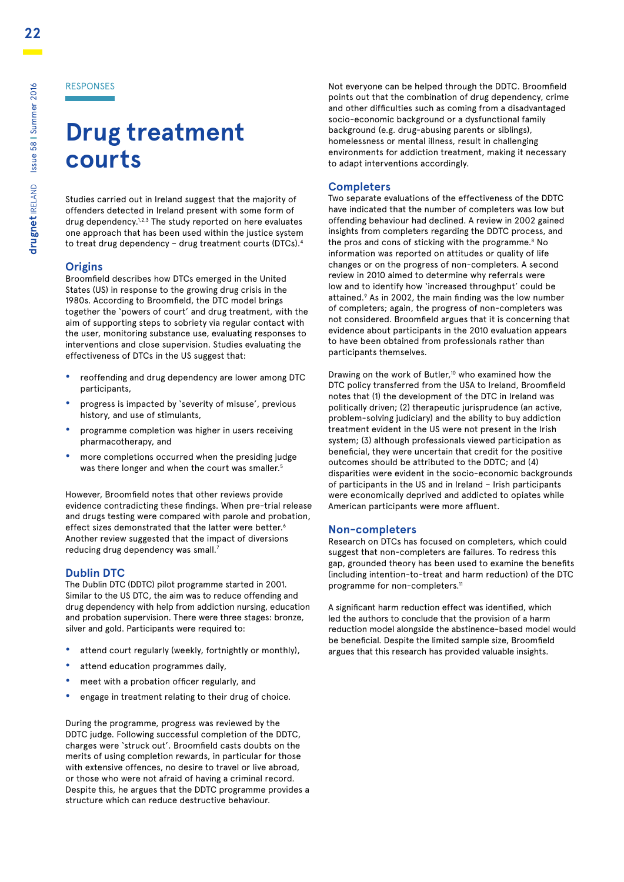# **Drug treatment courts**

Studies carried out in Ireland suggest that the majority of offenders detected in Ireland present with some form of drug dependency.<sup>1,2,3</sup> The study reported on here evaluates one approach that has been used within the justice system to treat drug dependency – drug treatment courts (DTCs).4

#### **Origins**

Broomfield describes how DTCs emerged in the United States (US) in response to the growing drug crisis in the 1980s. According to Broomfield, the DTC model brings together the 'powers of court' and drug treatment, with the aim of supporting steps to sobriety via regular contact with the user, monitoring substance use, evaluating responses to interventions and close supervision. Studies evaluating the effectiveness of DTCs in the US suggest that:

- **•** reoffending and drug dependency are lower among DTC participants,
- **•** progress is impacted by 'severity of misuse', previous history, and use of stimulants,
- **•** programme completion was higher in users receiving pharmacotherapy, and
- **•** more completions occurred when the presiding judge was there longer and when the court was smaller.<sup>5</sup>

However, Broomfield notes that other reviews provide evidence contradicting these findings. When pre-trial release and drugs testing were compared with parole and probation, effect sizes demonstrated that the latter were better.<sup>6</sup> Another review suggested that the impact of diversions reducing drug dependency was small.<sup>7</sup>

#### **Dublin DTC**

The Dublin DTC (DDTC) pilot programme started in 2001. Similar to the US DTC, the aim was to reduce offending and drug dependency with help from addiction nursing, education and probation supervision. There were three stages: bronze, silver and gold. Participants were required to:

- **•** attend court regularly (weekly, fortnightly or monthly),
- **•** attend education programmes daily,
- **•** meet with a probation officer regularly, and
- **•** engage in treatment relating to their drug of choice.

During the programme, progress was reviewed by the DDTC judge. Following successful completion of the DDTC, charges were 'struck out'. Broomfield casts doubts on the merits of using completion rewards, in particular for those with extensive offences, no desire to travel or live abroad, or those who were not afraid of having a criminal record. Despite this, he argues that the DDTC programme provides a structure which can reduce destructive behaviour.

Not everyone can be helped through the DDTC. Broomfield points out that the combination of drug dependency, crime and other difficulties such as coming from a disadvantaged socio-economic background or a dysfunctional family background (e.g. drug-abusing parents or siblings), homelessness or mental illness, result in challenging environments for addiction treatment, making it necessary to adapt interventions accordingly.

#### **Completers**

Two separate evaluations of the effectiveness of the DDTC have indicated that the number of completers was low but offending behaviour had declined. A review in 2002 gained insights from completers regarding the DDTC process, and the pros and cons of sticking with the programme.<sup>8</sup> No information was reported on attitudes or quality of life changes or on the progress of non-completers. A second review in 2010 aimed to determine why referrals were low and to identify how 'increased throughput' could be attained.9 As in 2002, the main finding was the low number of completers; again, the progress of non-completers was not considered. Broomfield argues that it is concerning that evidence about participants in the 2010 evaluation appears to have been obtained from professionals rather than participants themselves.

Drawing on the work of Butler,<sup>10</sup> who examined how the DTC policy transferred from the USA to Ireland, Broomfield notes that (1) the development of the DTC in Ireland was politically driven; (2) therapeutic jurisprudence (an active, problem-solving judiciary) and the ability to buy addiction treatment evident in the US were not present in the Irish system; (3) although professionals viewed participation as beneficial, they were uncertain that credit for the positive outcomes should be attributed to the DDTC; and (4) disparities were evident in the socio-economic backgrounds of participants in the US and in Ireland – Irish participants were economically deprived and addicted to opiates while American participants were more affluent.

#### **Non-completers**

Research on DTCs has focused on completers, which could suggest that non-completers are failures. To redress this gap, grounded theory has been used to examine the benefits (including intention-to-treat and harm reduction) of the DTC programme for non-completers.<sup>11</sup>

A significant harm reduction effect was identified, which led the authors to conclude that the provision of a harm reduction model alongside the abstinence-based model would be beneficial. Despite the limited sample size, Broomfield argues that this research has provided valuable insights.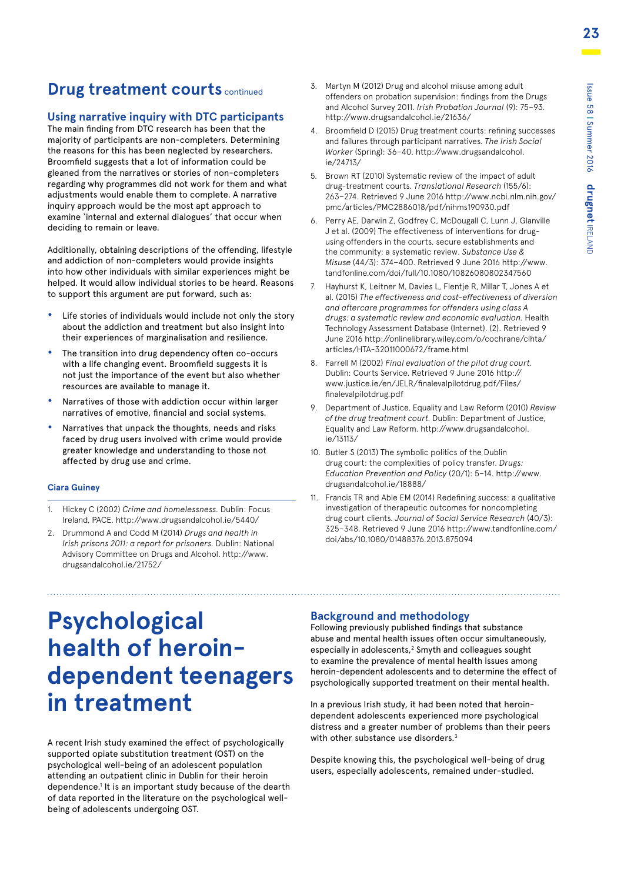### **Drug treatment courts continued**

#### **Using narrative inquiry with DTC participants**

The main finding from DTC research has been that the majority of participants are non-completers. Determining the reasons for this has been neglected by researchers. Broomfield suggests that a lot of information could be gleaned from the narratives or stories of non-completers regarding why programmes did not work for them and what adjustments would enable them to complete. A narrative inquiry approach would be the most apt approach to examine 'internal and external dialogues' that occur when deciding to remain or leave.

Additionally, obtaining descriptions of the offending, lifestyle and addiction of non-completers would provide insights into how other individuals with similar experiences might be helped. It would allow individual stories to be heard. Reasons to support this argument are put forward, such as:

- **•** Life stories of individuals would include not only the story about the addiction and treatment but also insight into their experiences of marginalisation and resilience.
- **•** The transition into drug dependency often co-occurs with a life changing event. Broomfield suggests it is not just the importance of the event but also whether resources are available to manage it.
- **•** Narratives of those with addiction occur within larger narratives of emotive, financial and social systems.
- **•** Narratives that unpack the thoughts, needs and risks faced by drug users involved with crime would provide greater knowledge and understanding to those not affected by drug use and crime.

#### **Ciara Guiney**

- 1. Hickey C (2002) *Crime and homelessness.* Dublin: Focus Ireland, PACE. http://www.drugsandalcohol.ie/5440/
- 2. Drummond A and Codd M (2014) *Drugs and health in Irish prisons 2011: a report for prisoners.* Dublin: National Advisory Committee on Drugs and Alcohol. http://www. drugsandalcohol.ie/21752/
- 3. Martyn M (2012) Drug and alcohol misuse among adult offenders on probation supervision: findings from the Drugs and Alcohol Survey 2011. *Irish Probation Journal* (9): 75–93. http://www.drugsandalcohol.ie/21636/
- 4. Broomfield D (2015) Drug treatment courts: refining successes and failures through participant narratives. *The Irish Social Worker* (Spring): 36–40. http://www.drugsandalcohol. ie/24713/
- 5. Brown RT (2010) Systematic review of the impact of adult drug-treatment courts. *Translational Research* (155/6): 263–274. Retrieved 9 June 2016 http://www.ncbi.nlm.nih.gov/ pmc/articles/PMC2886018/pdf/nihms190930.pdf
- 6. Perry AE, Darwin Z, Godfrey C, McDougall C, Lunn J, Glanville J et al. (2009) The effectiveness of interventions for drugusing offenders in the courts, secure establishments and the community: a systematic review. *Substance Use & Misuse* (44/3): 374–400. Retrieved 9 June 2016 http://www. tandfonline.com/doi/full/10.1080/10826080802347560
- 7. Hayhurst K, Leitner M, Davies L, Flentje R, Millar T, Jones A et al. (2015) *The effectiveness and cost-effectiveness of diversion and aftercare programmes for offenders using class A drugs: a systematic review and economic evaluation.* Health Technology Assessment Database (Internet). (2). Retrieved 9 June 2016 http://onlinelibrary.wiley.com/o/cochrane/clhta/ articles/HTA-32011000672/frame.html
- 8. Farrell M (2002) *Final evaluation of the pilot drug court.*  Dublin: Courts Service. Retrieved 9 June 2016 http:// www.justice.ie/en/JELR/finalevalpilotdrug.pdf/Files/ finalevalpilotdrug.pdf
- 9. Department of Justice, Equality and Law Reform (2010) *Review of the drug treatment court.* Dublin: Department of Justice, Equality and Law Reform. http://www.drugsandalcohol. ie/13113/
- 10. Butler S (2013) The symbolic politics of the Dublin drug court: the complexities of policy transfer. *Drugs: Education Prevention and Policy* (20/1): 5–14. http://www. drugsandalcohol.ie/18888/
- 11. Francis TR and Able EM (2014) Redefining success: a qualitative investigation of therapeutic outcomes for noncompleting drug court clients. *Journal of Social Service Research* (40/3): 325–348. Retrieved 9 June 2016 http://www.tandfonline.com/ doi/abs/10.1080/01488376.2013.875094

# **Psychological health of heroindependent teenagers in treatment**

A recent Irish study examined the effect of psychologically supported opiate substitution treatment (OST) on the psychological well-being of an adolescent population attending an outpatient clinic in Dublin for their heroin dependence.<sup>1</sup> It is an important study because of the dearth of data reported in the literature on the psychological wellbeing of adolescents undergoing OST.

#### **Background and methodology**

Following previously published findings that substance abuse and mental health issues often occur simultaneously, especially in adolescents,<sup>2</sup> Smyth and colleagues sought to examine the prevalence of mental health issues among heroin-dependent adolescents and to determine the effect of psychologically supported treatment on their mental health.

In a previous Irish study, it had been noted that heroindependent adolescents experienced more psychological distress and a greater number of problems than their peers with other substance use disorders.<sup>3</sup>

Despite knowing this, the psychological well-being of drug users, especially adolescents, remained under-studied.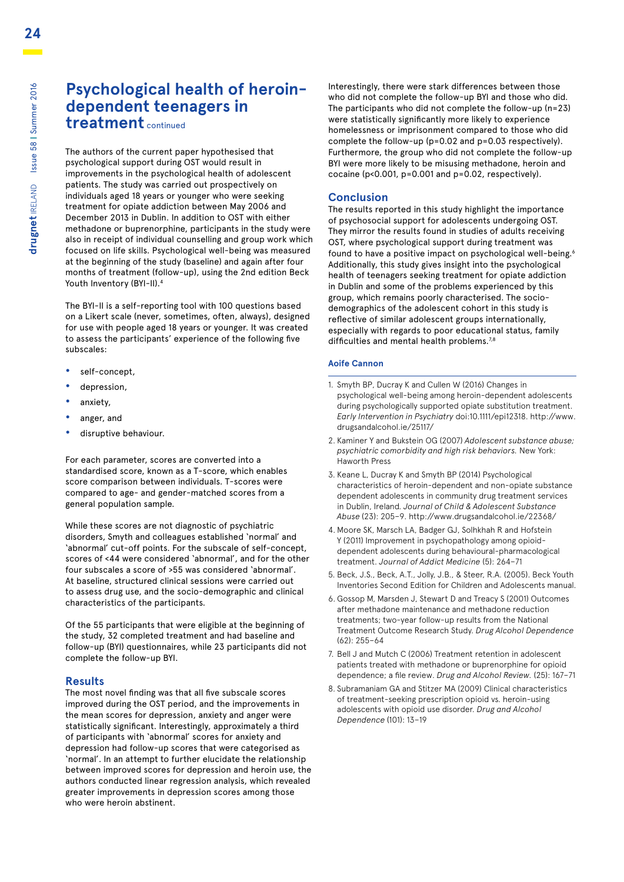### **Psychological health of heroindependent teenagers in**

**treatment** continued

The authors of the current paper hypothesised that psychological support during OST would result in improvements in the psychological health of adolescent patients. The study was carried out prospectively on individuals aged 18 years or younger who were seeking treatment for opiate addiction between May 2006 and December 2013 in Dublin. In addition to OST with either methadone or buprenorphine, participants in the study were also in receipt of individual counselling and group work which focused on life skills. Psychological well-being was measured at the beginning of the study (baseline) and again after four months of treatment (follow-up), using the 2nd edition Beck Youth Inventory (BYI-II).<sup>4</sup>

The BYI-II is a self-reporting tool with 100 questions based on a Likert scale (never, sometimes, often, always), designed for use with people aged 18 years or younger. It was created to assess the participants' experience of the following five subscales:

- **•** self-concept,
- **•** depression,
- **•** anxiety,
- **•** anger, and
- **•** disruptive behaviour.

For each parameter, scores are converted into a standardised score, known as a T-score, which enables score comparison between individuals. T-scores were compared to age- and gender-matched scores from a general population sample.

While these scores are not diagnostic of psychiatric disorders, Smyth and colleagues established 'normal' and 'abnormal' cut-off points. For the subscale of self-concept, scores of <44 were considered 'abnormal', and for the other four subscales a score of >55 was considered 'abnormal'. At baseline, structured clinical sessions were carried out to assess drug use, and the socio-demographic and clinical characteristics of the participants.

Of the 55 participants that were eligible at the beginning of the study, 32 completed treatment and had baseline and follow-up (BYI) questionnaires, while 23 participants did not complete the follow-up BYI.

#### **Results**

The most novel finding was that all five subscale scores improved during the OST period, and the improvements in the mean scores for depression, anxiety and anger were statistically significant. Interestingly, approximately a third of participants with 'abnormal' scores for anxiety and depression had follow-up scores that were categorised as 'normal'. In an attempt to further elucidate the relationship between improved scores for depression and heroin use, the authors conducted linear regression analysis, which revealed greater improvements in depression scores among those who were heroin abstinent.

Interestingly, there were stark differences between those who did not complete the follow-up BYI and those who did. The participants who did not complete the follow-up (n=23) were statistically significantly more likely to experience homelessness or imprisonment compared to those who did complete the follow-up (p=0.02 and p=0.03 respectively). Furthermore, the group who did not complete the follow-up BYI were more likely to be misusing methadone, heroin and cocaine (p<0.001, p=0.001 and p=0.02, respectively).

#### **Conclusion**

The results reported in this study highlight the importance of psychosocial support for adolescents undergoing OST. They mirror the results found in studies of adults receiving OST, where psychological support during treatment was found to have a positive impact on psychological well-being.<sup>6</sup> Additionally, this study gives insight into the psychological health of teenagers seeking treatment for opiate addiction in Dublin and some of the problems experienced by this group, which remains poorly characterised. The sociodemographics of the adolescent cohort in this study is reflective of similar adolescent groups internationally, especially with regards to poor educational status, family difficulties and mental health problems.<sup>7,8</sup>

#### **Aoife Cannon**

- 1. Smyth BP, Ducray K and Cullen W (2016) Changes in psychological well-being among heroin-dependent adolescents during psychologically supported opiate substitution treatment. *Early Intervention in Psychiatry* doi:10.1111/epi12318. http://www. drugsandalcohol.ie/25117/
- 2. Kaminer Y and Bukstein OG (2007) *Adolescent substance abuse; psychiatric comorbidity and high risk behaviors.* New York: Haworth Press
- 3. Keane L, Ducray K and Smyth BP (2014) Psychological characteristics of heroin-dependent and non-opiate substance dependent adolescents in community drug treatment services in Dublin, Ireland. *Journal of Child & Adolescent Substance Abuse* (23): 205–9. http://www.drugsandalcohol.ie/22368/
- 4. Moore SK, Marsch LA, Badger GJ, Solhkhah R and Hofstein Y (2011) Improvement in psychopathology among opioiddependent adolescents during behavioural-pharmacological treatment. *Journal of Addict Medicine* (5): 264–71
- 5. Beck, J.S., Beck, A.T., Jolly, J.B., & Steer, R.A. (2005). Beck Youth Inventories Second Edition for Children and Adolescents manual.
- 6. Gossop M, Marsden J, Stewart D and Treacy S (2001) Outcomes after methadone maintenance and methadone reduction treatments; two-year follow-up results from the National Treatment Outcome Research Study. *Drug Alcohol Dependence*  (62): 255–64
- 7. Bell J and Mutch C (2006) Treatment retention in adolescent patients treated with methadone or buprenorphine for opioid dependence; a file review. *Drug and Alcohol Review.* (25): 167–71
- 8. Subramaniam GA and Stitzer MA (2009) Clinical characteristics of treatment-seeking prescription opioid vs. heroin-using adolescents with opioid use disorder. *Drug and Alcohol Dependence* (101): 13–19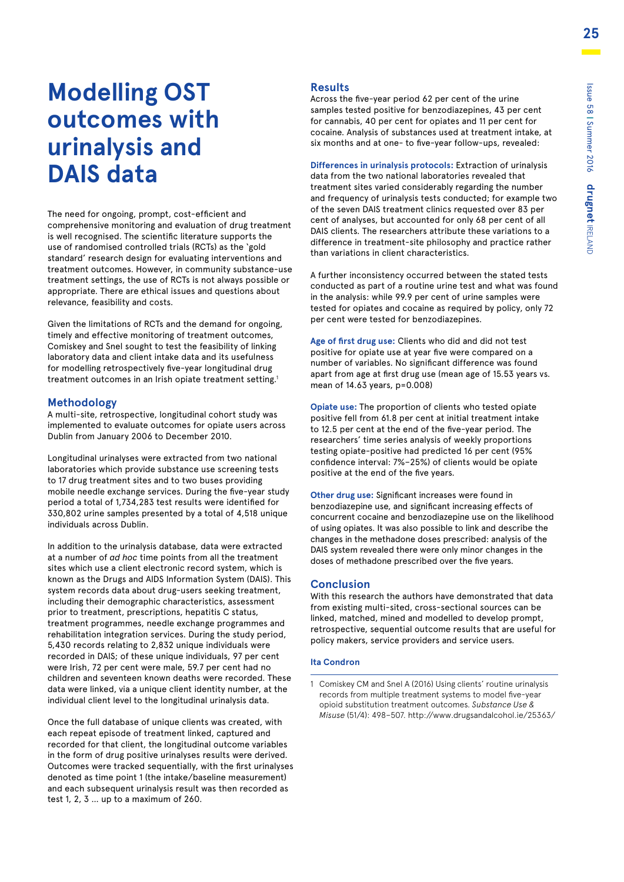# **Modelling OST outcomes with urinalysis and DAIS data**

The need for ongoing, prompt, cost-efficient and comprehensive monitoring and evaluation of drug treatment is well recognised. The scientific literature supports the use of randomised controlled trials (RCTs) as the 'gold standard' research design for evaluating interventions and treatment outcomes. However, in community substance-use treatment settings, the use of RCTs is not always possible or appropriate. There are ethical issues and questions about relevance, feasibility and costs.

Given the limitations of RCTs and the demand for ongoing, timely and effective monitoring of treatment outcomes, Comiskey and Snel sought to test the feasibility of linking laboratory data and client intake data and its usefulness for modelling retrospectively five-year longitudinal drug treatment outcomes in an Irish opiate treatment setting.<sup>1</sup>

#### **Methodology**

A multi-site, retrospective, longitudinal cohort study was implemented to evaluate outcomes for opiate users across Dublin from January 2006 to December 2010.

Longitudinal urinalyses were extracted from two national laboratories which provide substance use screening tests to 17 drug treatment sites and to two buses providing mobile needle exchange services. During the five-year study period a total of 1,734,283 test results were identified for 330,802 urine samples presented by a total of 4,518 unique individuals across Dublin.

In addition to the urinalysis database, data were extracted at a number of *ad hoc* time points from all the treatment sites which use a client electronic record system, which is known as the Drugs and AIDS Information System (DAIS). This system records data about drug-users seeking treatment, including their demographic characteristics, assessment prior to treatment, prescriptions, hepatitis C status, treatment programmes, needle exchange programmes and rehabilitation integration services. During the study period, 5,430 records relating to 2,832 unique individuals were recorded in DAIS; of these unique individuals, 97 per cent were Irish, 72 per cent were male, 59.7 per cent had no children and seventeen known deaths were recorded. These data were linked, via a unique client identity number, at the individual client level to the longitudinal urinalysis data.

Once the full database of unique clients was created, with each repeat episode of treatment linked, captured and recorded for that client, the longitudinal outcome variables in the form of drug positive urinalyses results were derived. Outcomes were tracked sequentially, with the first urinalyses denoted as time point 1 (the intake/baseline measurement) and each subsequent urinalysis result was then recorded as test 1, 2, 3 … up to a maximum of 260.

#### **Results**

Across the five-year period 62 per cent of the urine samples tested positive for benzodiazepines, 43 per cent for cannabis, 40 per cent for opiates and 11 per cent for cocaine. Analysis of substances used at treatment intake, at six months and at one- to five-year follow-ups, revealed:

**Differences in urinalysis protocols:** Extraction of urinalysis data from the two national laboratories revealed that treatment sites varied considerably regarding the number and frequency of urinalysis tests conducted; for example two of the seven DAIS treatment clinics requested over 83 per cent of analyses, but accounted for only 68 per cent of all DAIS clients. The researchers attribute these variations to a difference in treatment-site philosophy and practice rather than variations in client characteristics.

A further inconsistency occurred between the stated tests conducted as part of a routine urine test and what was found in the analysis: while 99.9 per cent of urine samples were tested for opiates and cocaine as required by policy, only 72 per cent were tested for benzodiazepines.

**Age of first drug use:** Clients who did and did not test positive for opiate use at year five were compared on a number of variables. No significant difference was found apart from age at first drug use (mean age of 15.53 years vs. mean of 14.63 years, p=0.008)

**Opiate use:** The proportion of clients who tested opiate positive fell from 61.8 per cent at initial treatment intake to 12.5 per cent at the end of the five-year period. The researchers' time series analysis of weekly proportions testing opiate-positive had predicted 16 per cent (95% confidence interval: 7%–25%) of clients would be opiate positive at the end of the five years.

**Other drug use:** Significant increases were found in benzodiazepine use, and significant increasing effects of concurrent cocaine and benzodiazepine use on the likelihood of using opiates. It was also possible to link and describe the changes in the methadone doses prescribed: analysis of the DAIS system revealed there were only minor changes in the doses of methadone prescribed over the five years.

#### **Conclusion**

With this research the authors have demonstrated that data from existing multi-sited, cross-sectional sources can be linked, matched, mined and modelled to develop prompt, retrospective, sequential outcome results that are useful for policy makers, service providers and service users.

#### **Ita Condron**

<sup>1</sup> Comiskey CM and Snel A (2016) Using clients' routine urinalysis records from multiple treatment systems to model five-year opioid substitution treatment outcomes. *Substance Use & Misuse* (51/4): 498–507. http://www.drugsandalcohol.ie/25363/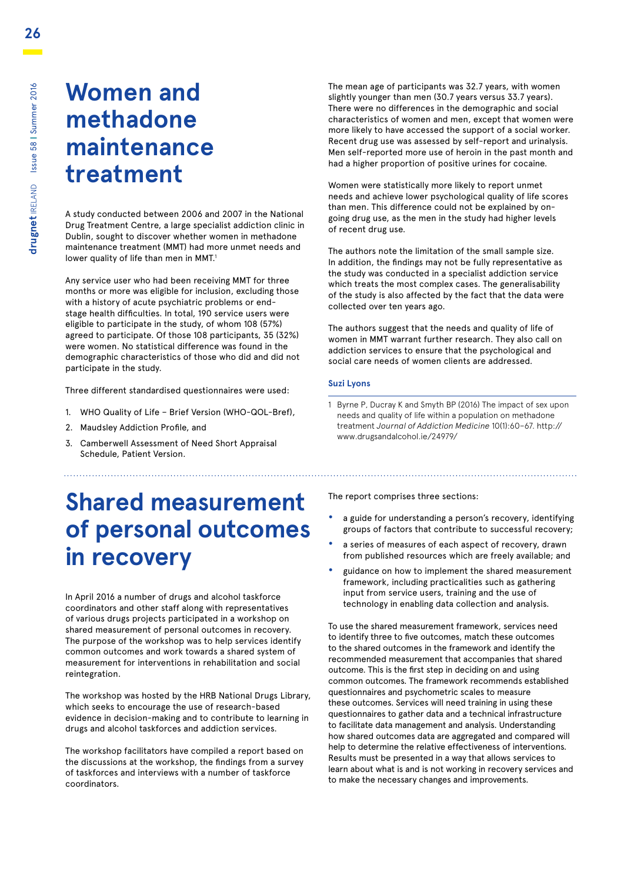### **Women and methadone maintenance treatment**

A study conducted between 2006 and 2007 in the National Drug Treatment Centre, a large specialist addiction clinic in Dublin, sought to discover whether women in methadone maintenance treatment (MMT) had more unmet needs and lower quality of life than men in MMT.<sup>1</sup>

Any service user who had been receiving MMT for three months or more was eligible for inclusion, excluding those with a history of acute psychiatric problems or endstage health difficulties. In total, 190 service users were eligible to participate in the study, of whom 108 (57%) agreed to participate. Of those 108 participants, 35 (32%) were women. No statistical difference was found in the demographic characteristics of those who did and did not participate in the study.

Three different standardised questionnaires were used:

- 1. WHO Quality of Life Brief Version (WHO-QOL-Bref),
- 2. Maudsley Addiction Profile, and
- 3. Camberwell Assessment of Need Short Appraisal Schedule, Patient Version.

#### The mean age of participants was 32.7 years, with women slightly younger than men (30.7 years versus 33.7 years). There were no differences in the demographic and social characteristics of women and men, except that women were more likely to have accessed the support of a social worker. Recent drug use was assessed by self-report and urinalysis. Men self-reported more use of heroin in the past month and had a higher proportion of positive urines for cocaine.

Women were statistically more likely to report unmet needs and achieve lower psychological quality of life scores than men. This difference could not be explained by ongoing drug use, as the men in the study had higher levels of recent drug use.

The authors note the limitation of the small sample size. In addition, the findings may not be fully representative as the study was conducted in a specialist addiction service which treats the most complex cases. The generalisability of the study is also affected by the fact that the data were collected over ten years ago.

The authors suggest that the needs and quality of life of women in MMT warrant further research. They also call on addiction services to ensure that the psychological and social care needs of women clients are addressed.

#### **Suzi Lyons**

1 Byrne P, Ducray K and Smyth BP (2016) The impact of sex upon needs and quality of life within a population on methadone treatment *Journal of Addiction Medicine* 10(1):60–67. http:// www.drugsandalcohol.ie/24979/

# **Shared measurement of personal outcomes in recovery**

In April 2016 a number of drugs and alcohol taskforce coordinators and other staff along with representatives of various drugs projects participated in a workshop on shared measurement of personal outcomes in recovery. The purpose of the workshop was to help services identify common outcomes and work towards a shared system of measurement for interventions in rehabilitation and social reintegration.

The workshop was hosted by the HRB National Drugs Library, which seeks to encourage the use of research-based evidence in decision-making and to contribute to learning in drugs and alcohol taskforces and addiction services.

The workshop facilitators have compiled a report based on the discussions at the workshop, the findings from a survey of taskforces and interviews with a number of taskforce coordinators.

The report comprises three sections:

**•** a guide for understanding a person's recovery, identifying groups of factors that contribute to successful recovery;

- **•** a series of measures of each aspect of recovery, drawn from published resources which are freely available; and
- **•** guidance on how to implement the shared measurement framework, including practicalities such as gathering input from service users, training and the use of technology in enabling data collection and analysis.

To use the shared measurement framework, services need to identify three to five outcomes, match these outcomes to the shared outcomes in the framework and identify the recommended measurement that accompanies that shared outcome. This is the first step in deciding on and using common outcomes. The framework recommends established questionnaires and psychometric scales to measure these outcomes. Services will need training in using these questionnaires to gather data and a technical infrastructure to facilitate data management and analysis. Understanding how shared outcomes data are aggregated and compared will help to determine the relative effectiveness of interventions. Results must be presented in a way that allows services to learn about what is and is not working in recovery services and to make the necessary changes and improvements.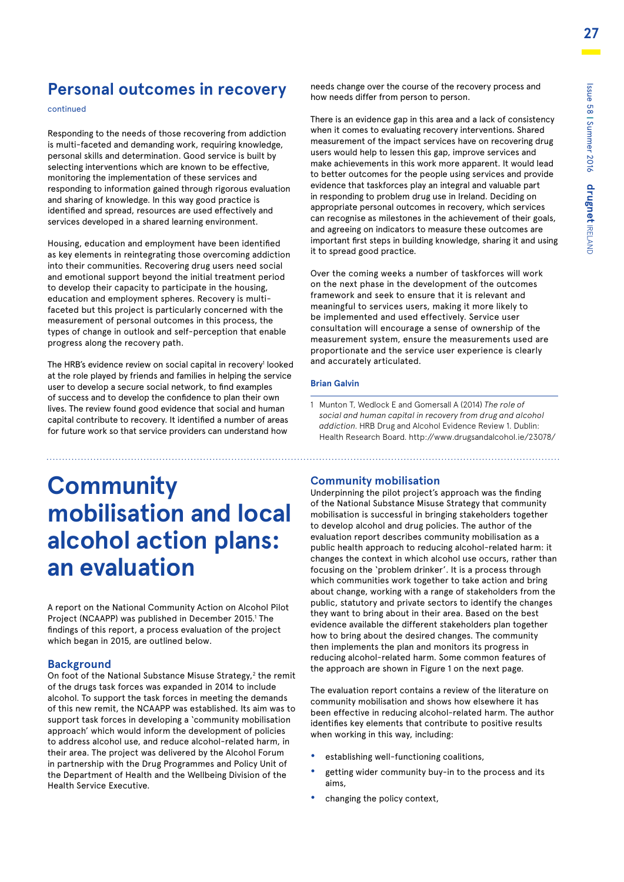### **Personal outcomes in recovery**

continued

Responding to the needs of those recovering from addiction is multi-faceted and demanding work, requiring knowledge, personal skills and determination. Good service is built by selecting interventions which are known to be effective, monitoring the implementation of these services and responding to information gained through rigorous evaluation and sharing of knowledge. In this way good practice is identified and spread, resources are used effectively and services developed in a shared learning environment.

Housing, education and employment have been identified as key elements in reintegrating those overcoming addiction into their communities. Recovering drug users need social and emotional support beyond the initial treatment period to develop their capacity to participate in the housing, education and employment spheres. Recovery is multifaceted but this project is particularly concerned with the measurement of personal outcomes in this process, the types of change in outlook and self-perception that enable progress along the recovery path.

The HRB's evidence review on social capital in recovery<sup>1</sup> looked at the role played by friends and families in helping the service user to develop a secure social network, to find examples of success and to develop the confidence to plan their own lives. The review found good evidence that social and human capital contribute to recovery. It identified a number of areas for future work so that service providers can understand how

#### needs change over the course of the recovery process and how needs differ from person to person.

There is an evidence gap in this area and a lack of consistency when it comes to evaluating recovery interventions. Shared measurement of the impact services have on recovering drug users would help to lessen this gap, improve services and make achievements in this work more apparent. It would lead to better outcomes for the people using services and provide evidence that taskforces play an integral and valuable part in responding to problem drug use in Ireland. Deciding on appropriate personal outcomes in recovery, which services can recognise as milestones in the achievement of their goals, and agreeing on indicators to measure these outcomes are important first steps in building knowledge, sharing it and using it to spread good practice.

Over the coming weeks a number of taskforces will work on the next phase in the development of the outcomes framework and seek to ensure that it is relevant and meaningful to services users, making it more likely to be implemented and used effectively. Service user consultation will encourage a sense of ownership of the measurement system, ensure the measurements used are proportionate and the service user experience is clearly and accurately articulated.

#### **Brian Galvin**

1 Munton T, Wedlock E and Gomersall A (2014) *The role of social and human capital in recovery from drug and alcohol addiction.* HRB Drug and Alcohol Evidence Review 1. Dublin: Health Research Board. http://www.drugsandalcohol.ie/23078/

# **Community mobilisation and local alcohol action plans: an evaluation**

A report on the National Community Action on Alcohol Pilot Project (NCAAPP) was published in December 2015.<sup>1</sup> The findings of this report, a process evaluation of the project which began in 2015, are outlined below.

#### **Background**

On foot of the National Substance Misuse Strategy,<sup>2</sup> the remit of the drugs task forces was expanded in 2014 to include alcohol. To support the task forces in meeting the demands of this new remit, the NCAAPP was established. Its aim was to support task forces in developing a 'community mobilisation approach' which would inform the development of policies to address alcohol use, and reduce alcohol-related harm, in their area. The project was delivered by the Alcohol Forum in partnership with the Drug Programmes and Policy Unit of the Department of Health and the Wellbeing Division of the Health Service Executive.

#### **Community mobilisation**

Underpinning the pilot project's approach was the finding of the National Substance Misuse Strategy that community mobilisation is successful in bringing stakeholders together to develop alcohol and drug policies. The author of the evaluation report describes community mobilisation as a public health approach to reducing alcohol-related harm: it changes the context in which alcohol use occurs, rather than focusing on the 'problem drinker'. It is a process through which communities work together to take action and bring about change, working with a range of stakeholders from the public, statutory and private sectors to identify the changes they want to bring about in their area. Based on the best evidence available the different stakeholders plan together how to bring about the desired changes. The community then implements the plan and monitors its progress in reducing alcohol-related harm. Some common features of the approach are shown in Figure 1 on the next page.

The evaluation report contains a review of the literature on community mobilisation and shows how elsewhere it has been effective in reducing alcohol-related harm. The author identifies key elements that contribute to positive results when working in this way, including:

- **•** establishing well-functioning coalitions,
- **•** getting wider community buy-in to the process and its aims,
- **•** changing the policy context,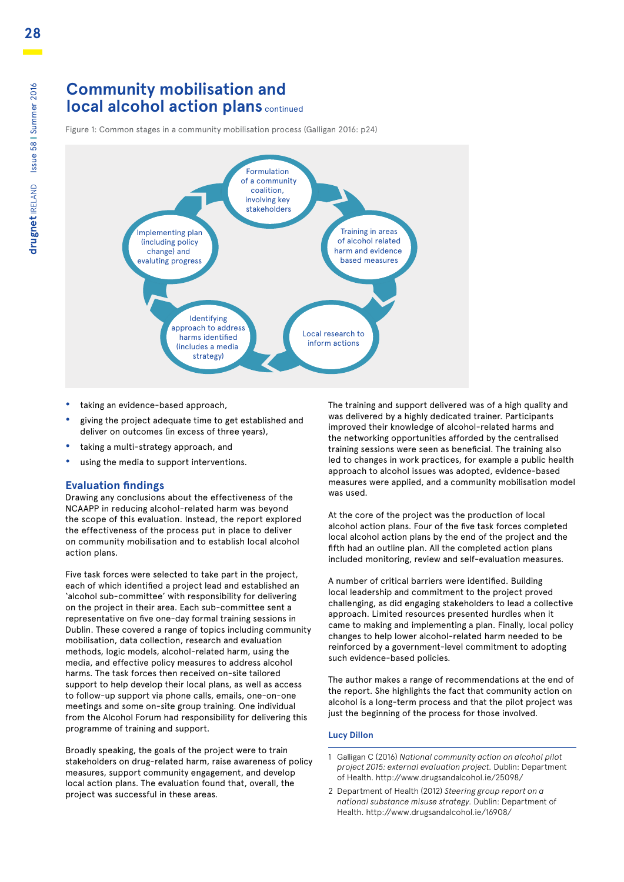### **Community mobilisation and local alcohol action plans** continued

Figure 1: Common stages in a community mobilisation process (Galligan 2016: p24)



- **•** taking an evidence-based approach,
- **•** giving the project adequate time to get established and deliver on outcomes (in excess of three years),
- **•** taking a multi-strategy approach, and
- **•** using the media to support interventions.

#### **Evaluation findings**

Drawing any conclusions about the effectiveness of the NCAAPP in reducing alcohol-related harm was beyond the scope of this evaluation. Instead, the report explored the effectiveness of the process put in place to deliver on community mobilisation and to establish local alcohol action plans.

Five task forces were selected to take part in the project, each of which identified a project lead and established an 'alcohol sub-committee' with responsibility for delivering on the project in their area. Each sub-committee sent a representative on five one-day formal training sessions in Dublin. These covered a range of topics including community mobilisation, data collection, research and evaluation methods, logic models, alcohol-related harm, using the media, and effective policy measures to address alcohol harms. The task forces then received on-site tailored support to help develop their local plans, as well as access to follow-up support via phone calls, emails, one-on-one meetings and some on-site group training. One individual from the Alcohol Forum had responsibility for delivering this programme of training and support.

Broadly speaking, the goals of the project were to train stakeholders on drug-related harm, raise awareness of policy measures, support community engagement, and develop local action plans. The evaluation found that, overall, the project was successful in these areas.

The training and support delivered was of a high quality and was delivered by a highly dedicated trainer. Participants improved their knowledge of alcohol-related harms and the networking opportunities afforded by the centralised training sessions were seen as beneficial. The training also led to changes in work practices, for example a public health approach to alcohol issues was adopted, evidence-based measures were applied, and a community mobilisation model was used.

At the core of the project was the production of local alcohol action plans. Four of the five task forces completed local alcohol action plans by the end of the project and the fifth had an outline plan. All the completed action plans included monitoring, review and self-evaluation measures.

A number of critical barriers were identified. Building local leadership and commitment to the project proved challenging, as did engaging stakeholders to lead a collective approach. Limited resources presented hurdles when it came to making and implementing a plan. Finally, local policy changes to help lower alcohol-related harm needed to be reinforced by a government-level commitment to adopting such evidence-based policies.

The author makes a range of recommendations at the end of the report. She highlights the fact that community action on alcohol is a long-term process and that the pilot project was just the beginning of the process for those involved.

#### **Lucy Dillon**

- 1 Galligan C (2016) *National community action on alcohol pilot project 2015: external evaluation project.* Dublin: Department of Health. http://www.drugsandalcohol.ie/25098/
- 2 Department of Health (2012) *Steering group report on a national substance misuse strategy.* Dublin: Department of Health. http://www.drugsandalcohol.ie/16908/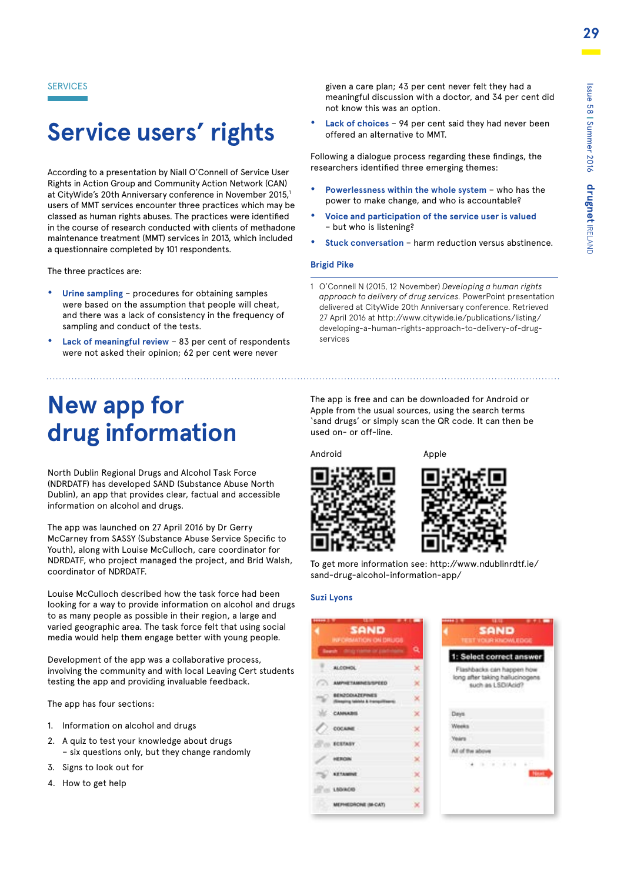SERVICES

# **Service users' rights**

According to a presentation by Niall O'Connell of Service User Rights in Action Group and Community Action Network (CAN) at CityWide's 20th Anniversary conference in November 2015,1 users of MMT services encounter three practices which may be classed as human rights abuses. The practices were identified in the course of research conducted with clients of methadone maintenance treatment (MMT) services in 2013, which included a questionnaire completed by 101 respondents.

The three practices are:

- **• Urine sampling** procedures for obtaining samples were based on the assumption that people will cheat, and there was a lack of consistency in the frequency of sampling and conduct of the tests.
- **• Lack of meaningful review** 83 per cent of respondents were not asked their opinion; 62 per cent were never

# **New app for drug information**

North Dublin Regional Drugs and Alcohol Task Force (NDRDATF) has developed SAND (Substance Abuse North Dublin), an app that provides clear, factual and accessible information on alcohol and drugs.

The app was launched on 27 April 2016 by Dr Gerry McCarney from SASSY (Substance Abuse Service Specific to Youth), along with Louise McCulloch, care coordinator for NDRDATF, who project managed the project, and Bríd Walsh, coordinator of NDRDATF.

Louise McCulloch described how the task force had been looking for a way to provide information on alcohol and drugs to as many people as possible in their region, a large and varied geographic area. The task force felt that using social media would help them engage better with young people.

Development of the app was a collaborative process, involving the community and with local Leaving Cert students testing the app and providing invaluable feedback.

The app has four sections:

- 1. Information on alcohol and drugs
- 2. A quiz to test your knowledge about drugs – six questions only, but they change randomly
- 3. Signs to look out for
- 4. How to get help

given a care plan; 43 per cent never felt they had a meaningful discussion with a doctor, and 34 per cent did not know this was an option.

**• Lack of choices** – 94 per cent said they had never been offered an alternative to MMT.

Following a dialogue process regarding these findings, the researchers identified three emerging themes:

- **• Powerlessness within the whole system** who has the power to make change, and who is accountable?
- **• Voice and participation of the service user is valued**  – but who is listening?
- **• Stuck conversation**  harm reduction versus abstinence.

#### **Brigid Pike**

1 O'Connell N (2015, 12 November) *Developing a human rights approach to delivery of drug services.* PowerPoint presentation delivered at CityWide 20th Anniversary conference. Retrieved 27 April 2016 at http://www.citywide.ie/publications/listing/ developing-a-human-rights-approach-to-delivery-of-drugservices

The app is free and can be downloaded for Android or Apple from the usual sources, using the search terms 'sand drugs' or simply scan the QR code. It can then be used on- or off-line.

Android Apple





To get more information see: http://www.ndublinrdtf.ie/ sand-drug-alcohol-information-app/

#### **Suzi Lyons**

| .<br>12.19<br><b>SAND</b><br>INFORMATION ON DRUGS        |           | <b>MAAH 319</b><br>世間<br><b>SAND</b><br><b>TEST VOLIR KNOWLEDGE</b> |
|----------------------------------------------------------|-----------|---------------------------------------------------------------------|
| Beards - drive mainle or paid-static                     | Q         | 1: Select correct answer                                            |
| ALCOHOL.                                                 |           | Flashbacks can happen how                                           |
| <b>AMPHETAMINES/SPEED</b>                                |           | long after taking hallucinogens<br>such as LSD/Acid?                |
| <b>BENZODIAZEPINES</b><br>aping fabiols & Instabilizanti |           |                                                                     |
| CAMARINE                                                 | ×         | Davis                                                               |
| <b>COCARd</b>                                            |           | Weeks                                                               |
| <b>BCETASY</b>                                           |           | <b>Vears</b><br>All of the above                                    |
| HEROIN                                                   | ×         | a constitution                                                      |
| <b>KETAMINE</b>                                          | ×         |                                                                     |
| <b>LIGHACIO</b>                                          | $\propto$ |                                                                     |
| MEFHEDRONE IM-CAT)                                       | ×         |                                                                     |
|                                                          |           |                                                                     |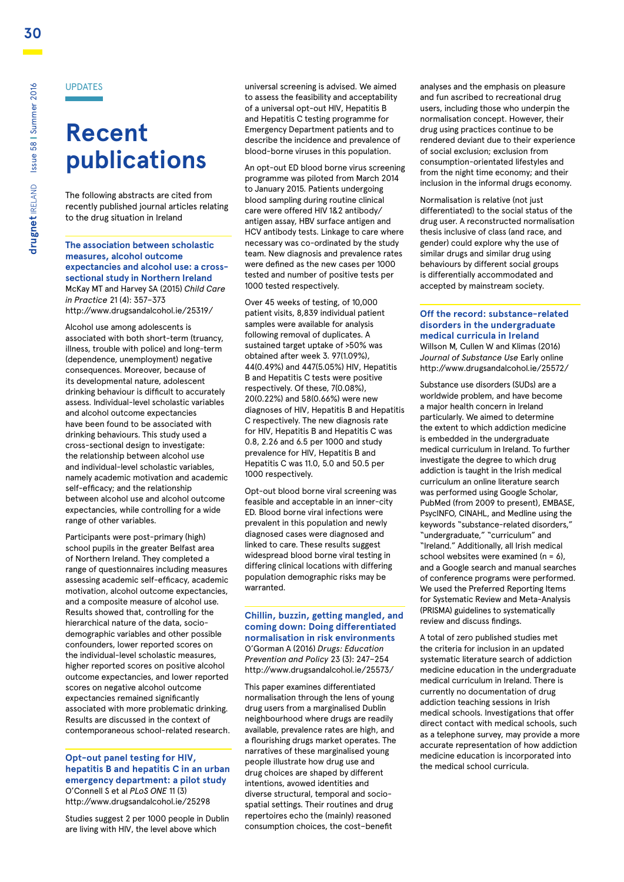# **Recent publications**

The following abstracts are cited from recently published journal articles relating to the drug situation in Ireland

**The association between scholastic measures, alcohol outcome expectancies and alcohol use: a crosssectional study in Northern Ireland** McKay MT and Harvey SA (2015) *Child Care in Practice* 21 (4): 357–373 http://www.drugsandalcohol.ie/25319/

Alcohol use among adolescents is associated with both short-term (truancy, illness, trouble with police) and long-term (dependence, unemployment) negative consequences. Moreover, because of its developmental nature, adolescent drinking behaviour is difficult to accurately assess. Individual-level scholastic variables and alcohol outcome expectancies have been found to be associated with drinking behaviours. This study used a cross-sectional design to investigate: the relationship between alcohol use and individual-level scholastic variables, namely academic motivation and academic self-efficacy; and the relationship between alcohol use and alcohol outcome expectancies, while controlling for a wide range of other variables.

Participants were post-primary (high) school pupils in the greater Belfast area of Northern Ireland. They completed a range of questionnaires including measures assessing academic self-efficacy, academic motivation, alcohol outcome expectancies, and a composite measure of alcohol use. Results showed that, controlling for the hierarchical nature of the data, sociodemographic variables and other possible confounders, lower reported scores on the individual-level scholastic measures, higher reported scores on positive alcohol outcome expectancies, and lower reported scores on negative alcohol outcome expectancies remained significantly associated with more problematic drinking. Results are discussed in the context of contemporaneous school-related research.

#### **Opt-out panel testing for HIV, hepatitis B and hepatitis C in an urban emergency department: a pilot study** O'Connell S et al *PLoS ONE* 11 (3) http://www.drugsandalcohol.ie/25298

Studies suggest 2 per 1000 people in Dublin are living with HIV, the level above which

universal screening is advised. We aimed to assess the feasibility and acceptability of a universal opt-out HIV, Hepatitis B and Hepatitis C testing programme for Emergency Department patients and to describe the incidence and prevalence of blood-borne viruses in this population.

An opt-out ED blood borne virus screening programme was piloted from March 2014 to January 2015. Patients undergoing blood sampling during routine clinical care were offered HIV 1&2 antibody/ antigen assay, HBV surface antigen and HCV antibody tests. Linkage to care where necessary was co-ordinated by the study team. New diagnosis and prevalence rates were defined as the new cases per 1000 tested and number of positive tests per 1000 tested respectively.

Over 45 weeks of testing, of 10,000 patient visits, 8,839 individual patient samples were available for analysis following removal of duplicates. A sustained target uptake of >50% was obtained after week 3. 97(1.09%), 44(0.49%) and 447(5.05%) HIV, Hepatitis B and Hepatitis C tests were positive respectively. Of these, 7(0.08%), 20(0.22%) and 58(0.66%) were new diagnoses of HIV, Hepatitis B and Hepatitis C respectively. The new diagnosis rate for HIV, Hepatitis B and Hepatitis C was 0.8, 2.26 and 6.5 per 1000 and study prevalence for HIV, Hepatitis B and Hepatitis C was 11.0, 5.0 and 50.5 per 1000 respectively.

Opt-out blood borne viral screening was feasible and acceptable in an inner-city ED. Blood borne viral infections were prevalent in this population and newly diagnosed cases were diagnosed and linked to care. These results suggest widespread blood borne viral testing in differing clinical locations with differing population demographic risks may be warranted.

**Chillin, buzzin, getting mangled, and coming down: Doing differentiated normalisation in risk environments** O'Gorman A (2016) *Drugs: Education Prevention and Policy* 23 (3): 247–254 http://www.drugsandalcohol.ie/25573/

This paper examines differentiated normalisation through the lens of young drug users from a marginalised Dublin neighbourhood where drugs are readily available, prevalence rates are high, and a flourishing drugs market operates. The narratives of these marginalised young people illustrate how drug use and drug choices are shaped by different intentions, avowed identities and diverse structural, temporal and sociospatial settings. Their routines and drug repertoires echo the (mainly) reasoned consumption choices, the cost–benefit

analyses and the emphasis on pleasure and fun ascribed to recreational drug users, including those who underpin the normalisation concept. However, their drug using practices continue to be rendered deviant due to their experience of social exclusion; exclusion from consumption-orientated lifestyles and from the night time economy; and their inclusion in the informal drugs economy.

Normalisation is relative (not just differentiated) to the social status of the drug user. A reconstructed normalisation thesis inclusive of class (and race, and gender) could explore why the use of similar drugs and similar drug using behaviours by different social groups is differentially accommodated and accepted by mainstream society.

#### **Off the record: substance-related disorders in the undergraduate medical curricula in Ireland**  Willson M, Cullen W and Klimas (2016) *Journal of Substance Use* Early online http://www.drugsandalcohol.ie/25572/

Substance use disorders (SUDs) are a worldwide problem, and have become a major health concern in Ireland particularly. We aimed to determine the extent to which addiction medicine is embedded in the undergraduate medical curriculum in Ireland. To further investigate the degree to which drug addiction is taught in the Irish medical curriculum an online literature search was performed using Google Scholar, PubMed (from 2009 to present), EMBASE, PsycINFO, CINAHL, and Medline using the keywords "substance-related disorders," "undergraduate," "curriculum" and "Ireland." Additionally, all Irish medical school websites were examined  $(n = 6)$ , and a Google search and manual searches of conference programs were performed. We used the Preferred Reporting Items for Systematic Review and Meta-Analysis (PRISMA) guidelines to systematically review and discuss findings.

A total of zero published studies met the criteria for inclusion in an updated systematic literature search of addiction medicine education in the undergraduate medical curriculum in Ireland. There is currently no documentation of drug addiction teaching sessions in Irish medical schools. Investigations that offer direct contact with medical schools, such as a telephone survey, may provide a more accurate representation of how addiction medicine education is incorporated into the medical school curricula.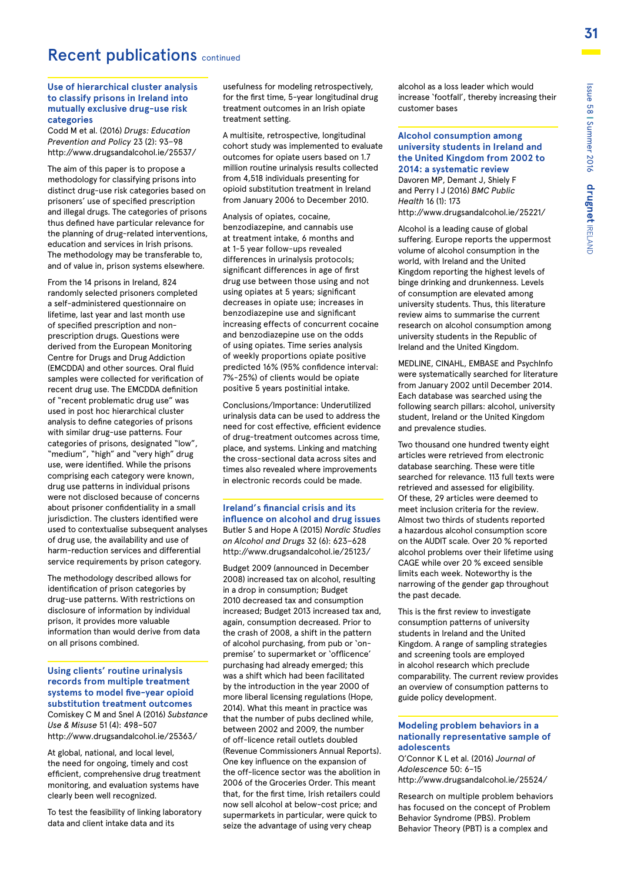### Recent publications continued

#### **Use of hierarchical cluster analysis to classify prisons in Ireland into mutually exclusive drug-use risk categories**

Codd M et al. (2016) *Drugs: Education Prevention and Policy* 23 (2): 93–98 http://www.drugsandalcohol.ie/25537/

The aim of this paper is to propose a methodology for classifying prisons into distinct drug-use risk categories based on prisoners' use of specified prescription and illegal drugs. The categories of prisons thus defined have particular relevance for the planning of drug-related interventions, education and services in Irish prisons. The methodology may be transferable to, and of value in, prison systems elsewhere.

From the 14 prisons in Ireland, 824 randomly selected prisoners completed a self-administered questionnaire on lifetime, last year and last month use of specified prescription and nonprescription drugs. Questions were derived from the European Monitoring Centre for Drugs and Drug Addiction (EMCDDA) and other sources. Oral fluid samples were collected for verification of recent drug use. The EMCDDA definition of "recent problematic drug use" was used in post hoc hierarchical cluster analysis to define categories of prisons with similar drug-use patterns. Four categories of prisons, designated "low", "medium", "high" and "very high" drug use, were identified. While the prisons comprising each category were known, drug use patterns in individual prisons were not disclosed because of concerns about prisoner confidentiality in a small jurisdiction. The clusters identified were used to contextualise subsequent analyses of drug use, the availability and use of harm-reduction services and differential service requirements by prison category.

The methodology described allows for identification of prison categories by drug-use patterns. With restrictions on disclosure of information by individual prison, it provides more valuable information than would derive from data on all prisons combined.

#### **Using clients' routine urinalysis records from multiple treatment systems to model five-year opioid substitution treatment outcomes**

Comiskey C M and Snel A (2016) *Substance Use & Misuse* 51 (4): 498–507 http://www.drugsandalcohol.ie/25363/

At global, national, and local level, the need for ongoing, timely and cost efficient, comprehensive drug treatment monitoring, and evaluation systems have clearly been well recognized.

To test the feasibility of linking laboratory data and client intake data and its

usefulness for modeling retrospectively, for the first time, 5-year longitudinal drug treatment outcomes in an Irish opiate treatment setting.

A multisite, retrospective, longitudinal cohort study was implemented to evaluate outcomes for opiate users based on 1.7 million routine urinalysis results collected from 4,518 individuals presenting for opioid substitution treatment in Ireland from January 2006 to December 2010.

Analysis of opiates, cocaine, benzodiazepine, and cannabis use at treatment intake, 6 months and at 1-5 year follow-ups revealed differences in urinalysis protocols; significant differences in age of first drug use between those using and not using opiates at 5 years; significant decreases in opiate use; increases in benzodiazepine use and significant increasing effects of concurrent cocaine and benzodiazepine use on the odds of using opiates. Time series analysis of weekly proportions opiate positive predicted 16% (95% confidence interval: 7%-25%) of clients would be opiate positive 5 years postinitial intake.

Conclusions/Importance: Underutilized urinalysis data can be used to address the need for cost effective, efficient evidence of drug-treatment outcomes across time, place, and systems. Linking and matching the cross-sectional data across sites and times also revealed where improvements in electronic records could be made.

#### **Ireland's financial crisis and its influence on alcohol and drug issues** Butler S and Hope A (2015) *Nordic Studies on Alcohol and Drugs* 32 (6): 623–628 http://www.drugsandalcohol.ie/25123/

Budget 2009 (announced in December 2008) increased tax on alcohol, resulting in a drop in consumption; Budget 2010 decreased tax and consumption increased; Budget 2013 increased tax and, again, consumption decreased. Prior to the crash of 2008, a shift in the pattern of alcohol purchasing, from pub or 'onpremise' to supermarket or 'offlicence' purchasing had already emerged; this was a shift which had been facilitated by the introduction in the year 2000 of more liberal licensing regulations (Hope, 2014). What this meant in practice was that the number of pubs declined while between 2002 and 2009, the number of off-licence retail outlets doubled (Revenue Commissioners Annual Reports). One key influence on the expansion of the off-licence sector was the abolition in 2006 of the Groceries Order. This meant that, for the first time, Irish retailers could now sell alcohol at below-cost price; and supermarkets in particular, were quick to seize the advantage of using very cheap

alcohol as a loss leader which would increase 'footfall', thereby increasing their customer bases

**Alcohol consumption among university students in Ireland and the United Kingdom from 2002 to 2014: a systematic review** Davoren MP, Demant J, Shiely F

and Perry I J (2016) *BMC Public Health* 16 (1): 173 http://www.drugsandalcohol.ie/25221/

Alcohol is a leading cause of global suffering. Europe reports the uppermost volume of alcohol consumption in the world, with Ireland and the United Kingdom reporting the highest levels of binge drinking and drunkenness. Levels of consumption are elevated among university students. Thus, this literature review aims to summarise the current research on alcohol consumption among university students in the Republic of Ireland and the United Kingdom.

MEDLINE, CINAHL, EMBASE and PsychInfo were systematically searched for literature from January 2002 until December 2014. Each database was searched using the following search pillars: alcohol, university student, Ireland or the United Kingdom and prevalence studies.

Two thousand one hundred twenty eight articles were retrieved from electronic database searching. These were title searched for relevance. 113 full texts were retrieved and assessed for eligibility. Of these, 29 articles were deemed to meet inclusion criteria for the review. Almost two thirds of students reported a hazardous alcohol consumption score on the AUDIT scale. Over 20 % reported alcohol problems over their lifetime using CAGE while over 20 % exceed sensible limits each week. Noteworthy is the narrowing of the gender gap throughout the past decade.

This is the first review to investigate consumption patterns of university students in Ireland and the United Kingdom. A range of sampling strategies and screening tools are employed in alcohol research which preclude comparability. The current review provides an overview of consumption patterns to guide policy development.

#### **Modeling problem behaviors in a nationally representative sample of adolescents**

O'Connor K L et al. (2016) *Journal of Adolescence* 50: 6–15 http://www.drugsandalcohol.ie/25524/

Research on multiple problem behaviors has focused on the concept of Problem Behavior Syndrome (PBS). Problem Behavior Theory (PBT) is a complex and